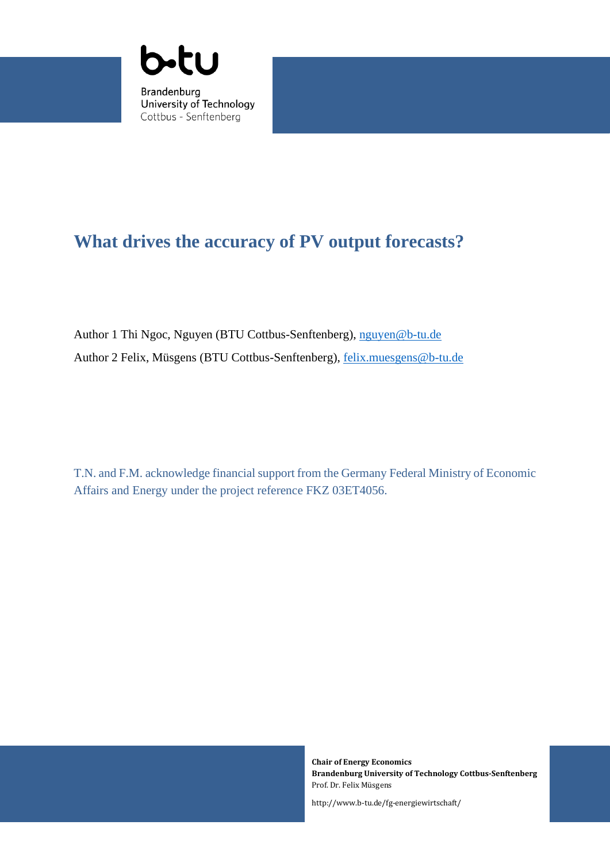

# **What drives the accuracy of PV output forecasts?**

Author 1 Thi Ngoc, Nguyen (BTU Cottbus-Senftenberg), [nguyen@b-tu.de](mailto:nguyen@b-tu.de) Author 2 Felix, Müsgens (BTU Cottbus-Senftenberg), felix.muesgens@b-tu.de

T.N. and F.M. acknowledge financial support from the Germany Federal Ministry of Economic Affairs and Energy under the project reference FKZ 03ET4056.

1

**Chair of Energy Economics Brandenburg University of Technology Cottbus-Senftenberg** Prof. Dr. Felix Müsgens

http://www.b-tu.de/fg-energiewirtschaft/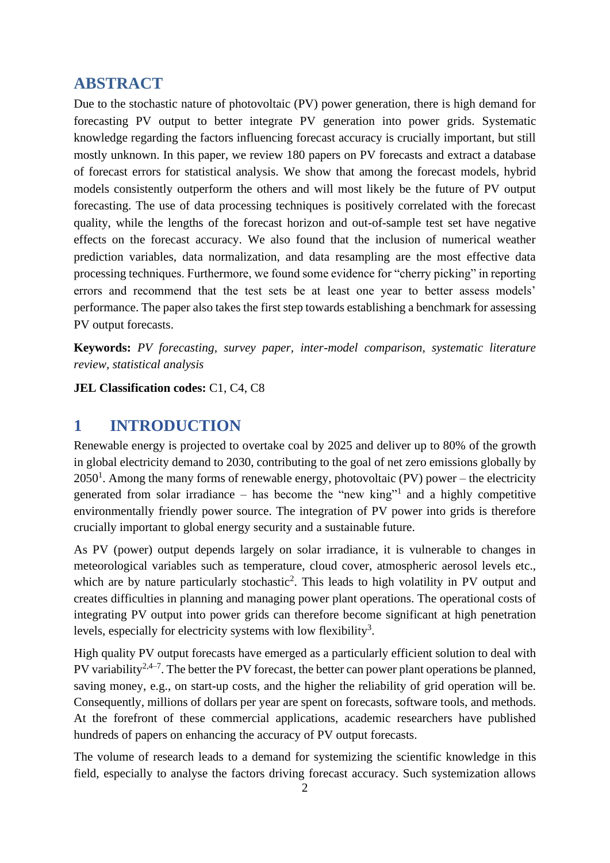# **ABSTRACT**

Due to the stochastic nature of photovoltaic (PV) power generation, there is high demand for forecasting PV output to better integrate PV generation into power grids. Systematic knowledge regarding the factors influencing forecast accuracy is crucially important, but still mostly unknown. In this paper, we review 180 papers on PV forecasts and extract a database of forecast errors for statistical analysis. We show that among the forecast models, hybrid models consistently outperform the others and will most likely be the future of PV output forecasting. The use of data processing techniques is positively correlated with the forecast quality, while the lengths of the forecast horizon and out-of-sample test set have negative effects on the forecast accuracy. We also found that the inclusion of numerical weather prediction variables, data normalization, and data resampling are the most effective data processing techniques. Furthermore, we found some evidence for "cherry picking" in reporting errors and recommend that the test sets be at least one year to better assess models' performance. The paper also takes the first step towards establishing a benchmark for assessing PV output forecasts.

**Keywords:** *PV forecasting, survey paper, inter-model comparison, systematic literature review, statistical analysis*

**JEL Classification codes:** C1, C4, C8

# **1 INTRODUCTION**

Renewable energy is projected to overtake coal by 2025 and deliver up to 80% of the growth in global electricity demand to 2030, contributing to the goal of net zero emissions globally by  $2050<sup>1</sup>$  $2050<sup>1</sup>$  $2050<sup>1</sup>$  $2050<sup>1</sup>$  $2050<sup>1</sup>$ . Among the many forms of renewable energy, photovoltaic (PV) power – the electricity generated from solar irradiance  $-$  has become the ["](#page-21-0)new king"<sup>[1](#page-21-0)</sup> and a highly competitive environmentally friendly power source. The integration of PV power into grids is therefore crucially important to global energy security and a sustainable future.

As PV (power) output depends largely on solar irradiance, it is vulnerable to changes in meteorological variables such as temperature, cloud cover, [atmospheric aerosol](https://www.sciencedirect.com/topics/materials-science/atmospheric-aerosols) levels etc., whi[c](#page-21-1)h are by nature particularly stochastic<sup>[2](#page-21-1)</sup>. This leads to high volatility in PV output and creates difficulties in planning and managing power plant operations. The operational costs of integrating PV output into power grids can therefore become significant at high penetration levels, especiall[y](#page-21-2) for electricity systems with low flexibility<sup>3</sup>.

High quality PV output forecasts have emerged as a particularly efficient solution to deal with PV variabilit[y](#page-21-1)<sup>[2](#page-21-1)[,4](#page-21-3)[–7](#page-21-4)</sup>. The better the PV forecast, the better can power plant operations be planned, saving money, e.g., on start-up costs, and the higher the reliability of grid operation will be. Consequently, millions of dollars per year are spent on forecasts, software tools, and methods. At the forefront of these commercial applications, academic researchers have published hundreds of papers on enhancing the accuracy of PV output forecasts.

The volume of research leads to a demand for systemizing the scientific knowledge in this field, especially to analyse the factors driving forecast accuracy. Such systemization allows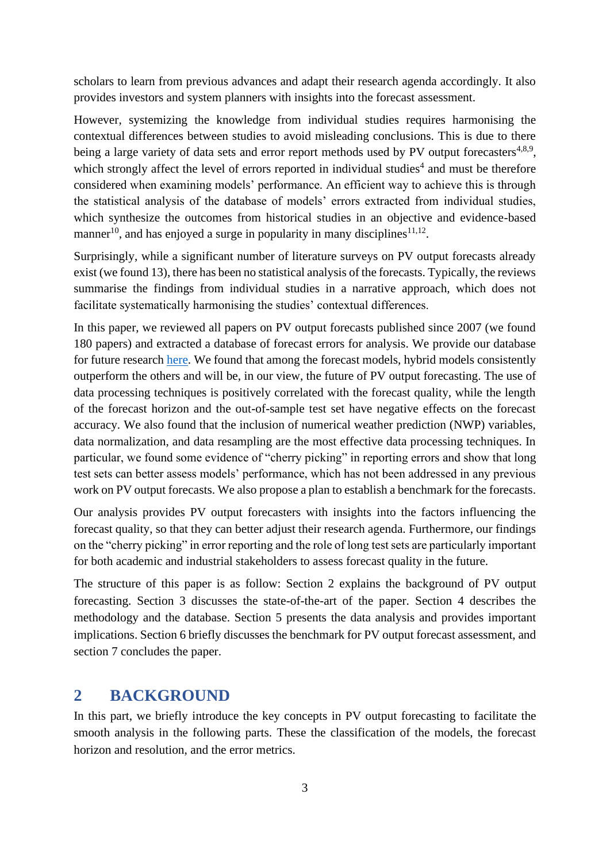scholars to learn from previous advances and adapt their research agenda accordingly. It also provides investors and system planners with insights into the forecast assessment.

However, systemizing the knowledge from individual studies requires harmonising the contextual differences between studies to avoid misleading conclusions. This is due to there being a large variety of data [s](#page-21-3)ets and error report methods used by PV output forecasters<sup>[4,](#page-21-3)[8,](#page-21-5)[9](#page-21-6)</sup>, which [s](#page-21-3)trongly affect the level of errors reported in individual studies<sup>[4](#page-21-3)</sup> and must be therefore considered when examining models' performance. An efficient way to achieve this is through the statistical analysis of the database of models' errors extracted from individual studies, which synthesize the outcomes from historical studies in an objective and evidence-based manner<sup>[10](#page-21-7)</sup>, and has enjoyed a surge in popularity in many disciplines<sup>[11,](#page-21-8)[12](#page-21-9)</sup>.

Surprisingly, while a significant number of literature surveys on PV output forecasts already exist (we found 13), there has been no statistical analysis of the forecasts. Typically, the reviews summarise the findings from individual studies in a narrative approach, which does not facilitate systematically harmonising the studies' contextual differences.

In this paper, we reviewed all papers on PV output forecasts published since 2007 (we found 180 papers) and extracted a database of forecast errors for analysis. We provide our database for future research [here.](https://doi.org/10.5281/zenodo.5589771) We found that among the forecast models, hybrid models consistently outperform the others and will be, in our view, the future of PV output forecasting. The use of data processing techniques is positively correlated with the forecast quality, while the length of the forecast horizon and the out-of-sample test set have negative effects on the forecast accuracy. We also found that the inclusion of numerical weather prediction (NWP) variables, data normalization, and data resampling are the most effective data processing techniques. In particular, we found some evidence of "cherry picking" in reporting errors and show that long test sets can better assess models' performance, which has not been addressed in any previous work on PV output forecasts. We also propose a plan to establish a benchmark for the forecasts.

Our analysis provides PV output forecasters with insights into the factors influencing the forecast quality, so that they can better adjust their research agenda. Furthermore, our findings on the "cherry picking" in error reporting and the role of long test sets are particularly important for both academic and industrial stakeholders to assess forecast quality in the future.

The structure of this paper is as follow: Section [2](#page-2-0) explains the background of PV output forecasting. Section [3](#page-5-0) discusses the state-of-the-art of the paper. Section [4](#page-7-0) describes the methodology and the database. Section [5](#page-12-0) presents the data analysis and provides important implications. Section [6](#page-19-0) briefly discusses the benchmark for PV output forecast assessment, and section [7](#page-20-0) concludes the paper.

# <span id="page-2-0"></span>**2 BACKGROUND**

In this part, we briefly introduce the key concepts in PV output forecasting to facilitate the smooth analysis in the following parts. These the classification of the models, the forecast horizon and resolution, and the error metrics.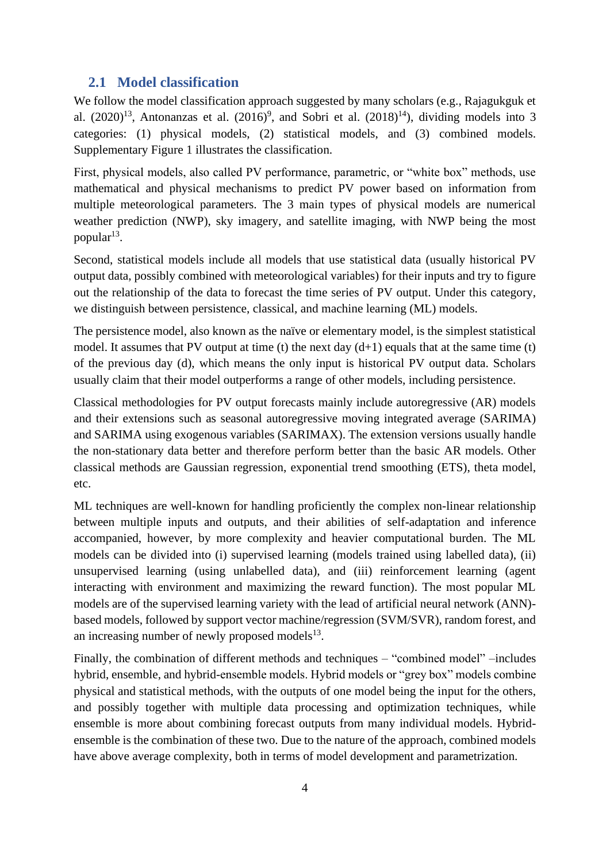### **2.1 Model classification**

We follow the model classification approach suggested by many scholars (e.g., Rajagukguk et al.  $(2020)^{13}$  $(2020)^{13}$  $(2020)^{13}$ , Antonanzas et al.  $(2016)^9$  $(2016)^9$  $(2016)^9$  $(2016)^9$ , and Sobri et al.  $(2018)^{14}$  $(2018)^{14}$  $(2018)^{14}$ ), dividing models into 3 categories: (1) physical models, (2) statistical models, and (3) combined models. [Supplementary Figure 1](#page-27-0) illustrates the classification.

First, physical models, also called PV performance, parametric, or "white box" methods, use mathematical and physical mechanisms to predict PV power based on information from multiple meteorological parameters. The 3 main types of physical models are numerical weather prediction (NWP), sky imagery, and satellite imaging, with NWP being the most popular<sup>[13](#page-21-10)</sup>.

Second, statistical models include all models that use statistical data (usually historical PV output data, possibly combined with meteorological variables) for their inputs and try to figure out the relationship of the data to forecast the time series of PV output. Under this category, we distinguish between persistence, classical, and machine learning (ML) models.

The persistence model, also known as the naïve or elementary model, is the simplest statistical model. It assumes that PV output at time (t) the next day  $(d+1)$  equals that at the same time (t) of the previous day (d), which means the only input is historical PV output data. Scholars usually claim that their model outperforms a range of other models, including persistence.

Classical methodologies for PV output forecasts mainly include autoregressive (AR) models and their extensions such as seasonal autoregressive moving integrated average (SARIMA) and SARIMA using exogenous variables (SARIMAX). The extension versions usually handle the non-stationary data better and therefore perform better than the basic AR models. Other classical methods are Gaussian regression, exponential trend smoothing (ETS), theta model, etc.

ML techniques are well-known for handling proficiently the complex non-linear relationship between multiple inputs and outputs, and their abilities of self-adaptation and inference accompanied, however, by more complexity and heavier computational burden. The ML models can be divided into (i) supervised learning (models trained using labelled data), (ii) unsupervised learning (using unlabelled data), and (iii) reinforcement learning (agent interacting with environment and maximizing the reward function). The most popular ML models are of the supervised learning variety with the lead of artificial neural network (ANN) based models, followed by support vector machine/regression (SVM/SVR), random forest, and an increasing number of newly proposed models $^{13}$  $^{13}$  $^{13}$ .

Finally, the combination of different methods and techniques – "combined model" –includes hybrid, ensemble, and hybrid-ensemble models. Hybrid models or "grey box" models combine physical and statistical methods, with the outputs of one model being the input for the others, and possibly together with multiple data processing and optimization techniques, while ensemble is more about combining forecast outputs from many individual models. Hybridensemble is the combination of these two. Due to the nature of the approach, combined models have above average complexity, both in terms of model development and parametrization.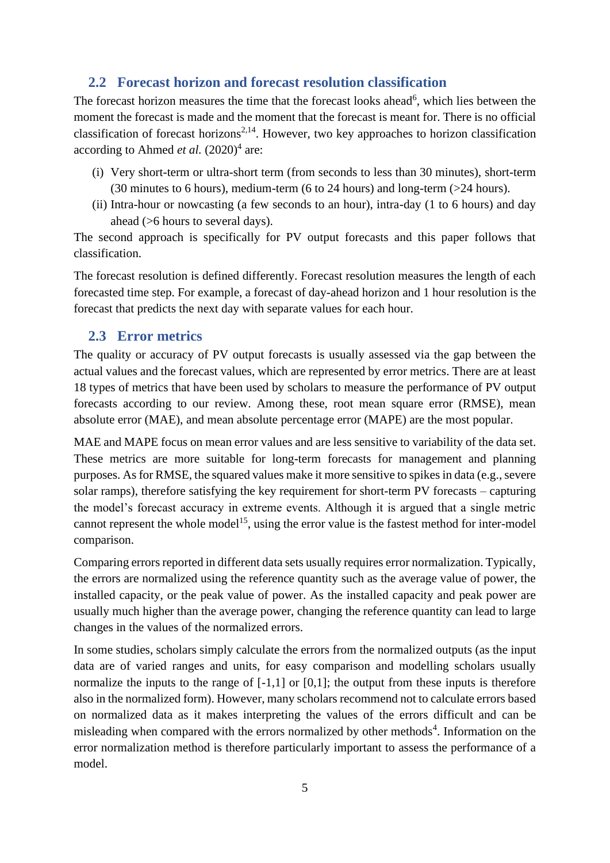# <span id="page-4-1"></span>**2.2 Forecast horizon and forecast resolution classification**

The forecast horizon measures the time that the forecast looks ahea[d](#page-21-12)<sup>[6](#page-21-12)</sup>, which lies between the moment the forecast is made and the moment that the forecast is meant for. There is no official cla[s](#page-21-1)sification of forecast horizons<sup>[2,](#page-21-1)[14](#page-21-11)</sup>. However, two key approaches to horizon classification according to Ahmed *et al.*  $(2020)^4$  $(2020)^4$  $(2020)^4$  $(2020)^4$  are:

- (i) Very short-term or ultra-short term (from seconds to less than 30 minutes), short-term (30 minutes to 6 hours), medium-term (6 to 24 hours) and long-term (>24 hours).
- (ii) Intra-hour or nowcasting (a few seconds to an hour), intra-day (1 to 6 hours) and day ahead (>6 hours to several days).

The second approach is specifically for PV output forecasts and this paper follows that classification.

The forecast resolution is defined differently. Forecast resolution measures the length of each forecasted time step. For example, a forecast of day-ahead horizon and 1 hour resolution is the forecast that predicts the next day with separate values for each hour.

# <span id="page-4-0"></span>**2.3 Error metrics**

The quality or accuracy of PV output forecasts is usually assessed via the gap between the actual values and the forecast values, which are represented by error metrics. There are at least 18 types of metrics that have been used by scholars to measure the performance of PV output forecasts according to our review. Among these, root mean square error (RMSE), mean absolute error (MAE), and mean absolute percentage error (MAPE) are the most popular.

MAE and MAPE focus on mean error values and are less sensitive to variability of the data set. These metrics are more suitable for long-term forecasts for management and planning purposes. As for RMSE, the squared values make it more sensitive to spikes in data (e.g., severe solar ramps), therefore satisfying the key requirement for short-term PV forecasts – capturing the model's forecast accuracy in extreme events. Although it is argued that a single metric cannot represent the whole model<sup>[15](#page-22-0)</sup>, using the error value is the fastest method for inter-model comparison.

Comparing errors reported in different data sets usually requires error normalization. Typically, the errors are normalized using the reference quantity such as the average value of power, the installed capacity, or the peak value of power. As the installed capacity and peak power are usually much higher than the average power, changing the reference quantity can lead to large changes in the values of the normalized errors.

In some studies, scholars simply calculate the errors from the normalized outputs (as the input data are of varied ranges and units, for easy comparison and modelling scholars usually normalize the inputs to the range of  $[-1,1]$  or  $[0,1]$ ; the output from these inputs is therefore also in the normalized form). However, many scholars recommend not to calculate errors based on normalized data as it makes interpreting the values of the errors difficult and can be mi[s](#page-21-3)leading when compared with the errors normalized by other methods<sup>[4](#page-21-3)</sup>. Information on the error normalization method is therefore particularly important to assess the performance of a model.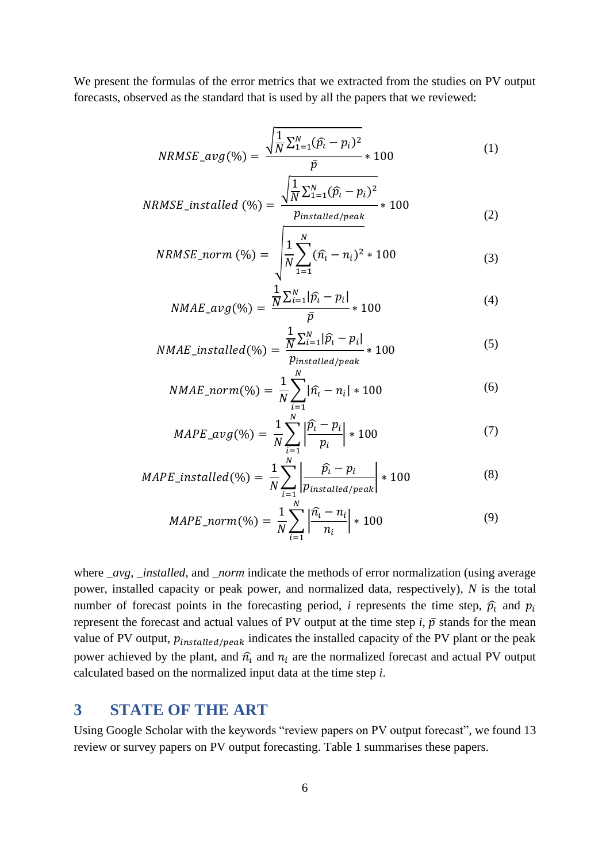We present the formulas of the error metrics that we extracted from the studies on PV output forecasts, observed as the standard that is used by all the papers that we reviewed:

$$
NRMSE\_avg(\%) = \frac{\sqrt{\frac{1}{N}\sum_{1=1}^{N}(\hat{p}_i - p_i)^2}}{\bar{p}} * 100
$$
 (1)

$$
NRMSE\_installed \ (\%) = \frac{\sqrt{\frac{1}{N} \sum_{1=1}^{N} (\hat{p}_i - p_i)^2}}{p_{installed/peak}} * 100
$$
 (2)

$$
NRMSE\_norm\ (\%) = \sqrt{\frac{1}{N} \sum_{1=1}^{N} (\hat{n}_{i} - n_{i})^{2} * 100}
$$
\n(3)

$$
NMAE_{a}vg(\%) = \frac{\frac{1}{N} \sum_{i=1}^{N} |\hat{p}_{i} - p_{i}|}{\bar{p}} * 100
$$
\n(4)

$$
NMAE\_installed(\%) = \frac{\frac{1}{N} \sum_{i=1}^{N} |\hat{p}_i - p_i|}{p_{installed/peak}} * 100
$$
\n
$$
(5)
$$

$$
NMAE\_norm(\%) = \frac{1}{N} \sum_{i=1}^{N} |\hat{n_i} - n_i| * 100
$$
 (6)

$$
MAPE\_avg(\%) = \frac{1}{N} \sum_{i=1}^{N} \left| \frac{\hat{p}_i - p_i}{p_i} \right| * 100
$$
 (7)

$$
MAPE\_installed(\%) = \frac{1}{N} \sum_{i=1}^{N} \left| \frac{\hat{p}_i - p_i}{p_{installed/peak}} \right| * 100
$$
 (8)

$$
MAPE\_norm(\%) = \frac{1}{N} \sum_{i=1}^{N} \left| \frac{\hat{n}_{i} - n_{i}}{n_{i}} \right| * 100
$$
 (9)

where *avg, installed,* and *norm* indicate the methods of error normalization (using average power, installed capacity or peak power, and normalized data, respectively), *N* is the total number of forecast points in the forecasting period, *i* represents the time step,  $\hat{p}_i$  and  $p_i$ represent the forecast and actual values of PV output at the time step  $i$ ,  $\bar{p}$  stands for the mean value of PV output,  $p_{installed/peak}$  indicates the installed capacity of the PV plant or the peak power achieved by the plant, and  $\hat{n}_i$  and  $n_i$  are the normalized forecast and actual PV output calculated based on the normalized input data at the time step *i*.

# <span id="page-5-0"></span>**3 STATE OF THE ART**

Using Google Scholar with the keywords "review papers on PV output forecast", we found 13 review or survey papers on PV output forecasting. [Table 1](#page-6-0) summarises these papers.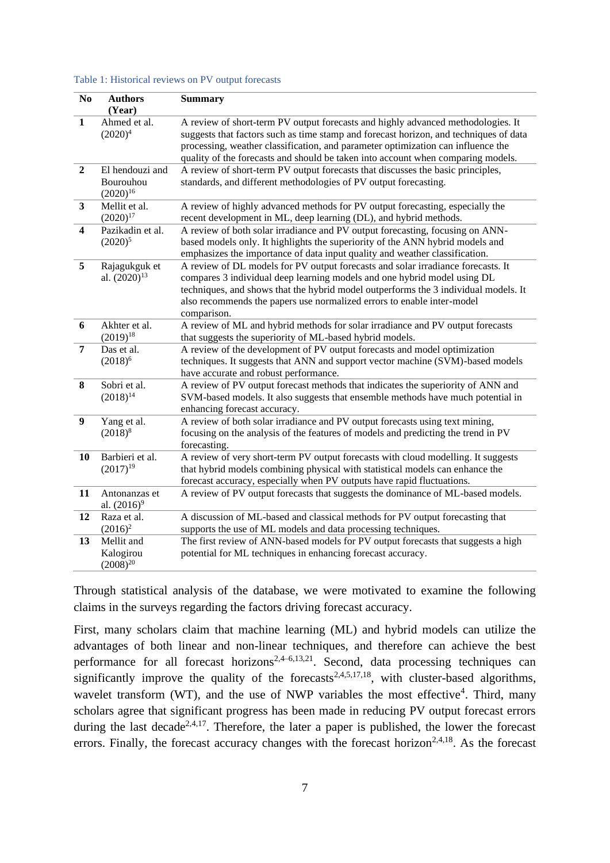<span id="page-6-0"></span>

| Table 1: Historical reviews on PV output forecasts |  |  |
|----------------------------------------------------|--|--|
|----------------------------------------------------|--|--|

| N <sub>0</sub>          | <b>Authors</b><br>(Year)                      | <b>Summary</b>                                                                                                                                                                                                                                                                                                                                    |
|-------------------------|-----------------------------------------------|---------------------------------------------------------------------------------------------------------------------------------------------------------------------------------------------------------------------------------------------------------------------------------------------------------------------------------------------------|
| $\mathbf{1}$            | Ahmed et al.<br>$(2020)^4$                    | A review of short-term PV output forecasts and highly advanced methodologies. It<br>suggests that factors such as time stamp and forecast horizon, and techniques of data<br>processing, weather classification, and parameter optimization can influence the<br>quality of the forecasts and should be taken into account when comparing models. |
| $\overline{2}$          | El hendouzi and<br>Bourouhou<br>$(2020)^{16}$ | A review of short-term PV output forecasts that discusses the basic principles,<br>standards, and different methodologies of PV output forecasting.                                                                                                                                                                                               |
| $\overline{\mathbf{3}}$ | Mellit et al.<br>$(2020)^{17}$                | A review of highly advanced methods for PV output forecasting, especially the<br>recent development in ML, deep learning (DL), and hybrid methods.                                                                                                                                                                                                |
| $\overline{\mathbf{4}}$ | Pazikadin et al.<br>$(2020)^5$                | A review of both solar irradiance and PV output forecasting, focusing on ANN-<br>based models only. It highlights the superiority of the ANN hybrid models and<br>emphasizes the importance of data input quality and weather classification.                                                                                                     |
| 5                       | Rajagukguk et<br>al. $(2020)^{13}$            | A review of DL models for PV output forecasts and solar irradiance forecasts. It<br>compares 3 individual deep learning models and one hybrid model using DL<br>techniques, and shows that the hybrid model outperforms the 3 individual models. It<br>also recommends the papers use normalized errors to enable inter-model<br>comparison.      |
| 6                       | Akhter et al.<br>$(2019)^{18}$                | A review of ML and hybrid methods for solar irradiance and PV output forecasts<br>that suggests the superiority of ML-based hybrid models.                                                                                                                                                                                                        |
| $\overline{7}$          | Das et al.<br>$(2018)^6$                      | A review of the development of PV output forecasts and model optimization<br>techniques. It suggests that ANN and support vector machine (SVM)-based models<br>have accurate and robust performance.                                                                                                                                              |
| 8                       | Sobri et al.<br>$(2018)^{14}$                 | A review of PV output forecast methods that indicates the superiority of ANN and<br>SVM-based models. It also suggests that ensemble methods have much potential in<br>enhancing forecast accuracy.                                                                                                                                               |
| $\boldsymbol{9}$        | Yang et al.<br>$(2018)^8$                     | A review of both solar irradiance and PV output forecasts using text mining,<br>focusing on the analysis of the features of models and predicting the trend in PV<br>forecasting.                                                                                                                                                                 |
| 10                      | Barbieri et al.<br>$(2017)^{19}$              | A review of very short-term PV output forecasts with cloud modelling. It suggests<br>that hybrid models combining physical with statistical models can enhance the<br>forecast accuracy, especially when PV outputs have rapid fluctuations.                                                                                                      |
| 11                      | Antonanzas et<br>al. $(2016)^9$               | A review of PV output forecasts that suggests the dominance of ML-based models.                                                                                                                                                                                                                                                                   |
| 12                      | Raza et al.<br>$(2016)^2$                     | A discussion of ML-based and classical methods for PV output forecasting that<br>supports the use of ML models and data processing techniques.                                                                                                                                                                                                    |
| 13                      | Mellit and<br>Kalogirou<br>$(2008)^{20}$      | The first review of ANN-based models for PV output forecasts that suggests a high<br>potential for ML techniques in enhancing forecast accuracy.                                                                                                                                                                                                  |

Through statistical analysis of the database, we were motivated to examine the following claims in the surveys regarding the factors driving forecast accuracy.

First, many scholars claim that machine learning (ML) and hybrid models can utilize the advantages of both linear and non-linear techniques, and therefore can achieve the best performance for all foreca[s](#page-21-1)t horizons<sup>[2,](#page-21-1)[4](#page-21-3)[–6,](#page-21-12)[13,](#page-21-10)[21](#page-22-6)</sup>. Second, data processing techniques can [s](#page-21-1)ignificantly improve the quality of the forecasts<sup>[2](#page-21-1)[,4](#page-21-3)[,5](#page-21-13)[,17](#page-22-2)[,18](#page-22-3)</sup>, with cluster-based algorithms, wav[e](#page-21-3)let transform (WT), and the use of NWP variables the most effective<sup>[4](#page-21-3)</sup>. Third, many scholars agree that significant progress has been made in reducing PV output forecast errors during th[e](#page-21-1) last decade<sup>[2](#page-21-1)[,4](#page-21-3)[,17](#page-22-2)</sup>. Therefore, the later a paper is published, the lower the forecast errors. Fi[n](#page-21-1)ally, the forecast accuracy changes with the forecast horizon<sup>[2,](#page-21-1)[4](#page-21-3)[,18](#page-22-3)</sup>. As the forecast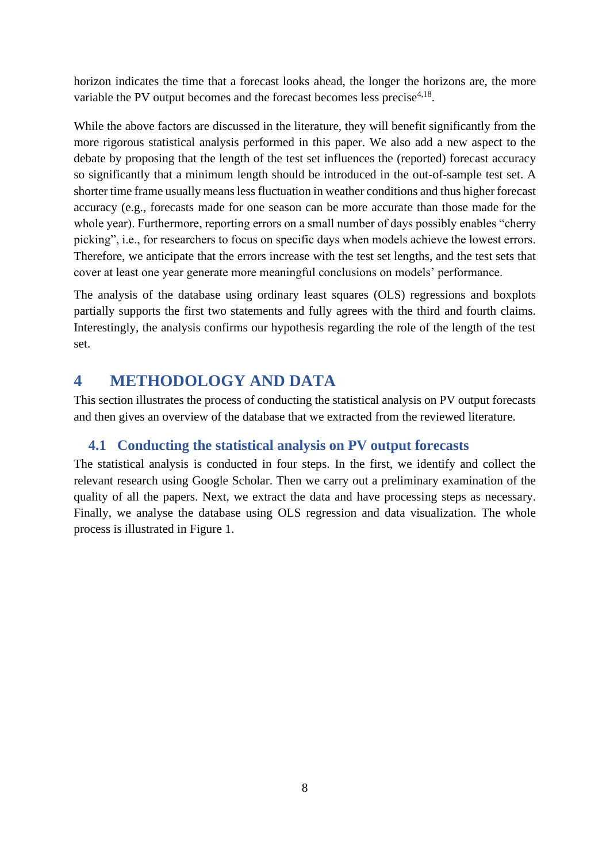horizon indicates the time that a forecast looks ahead, the longer the horizons are, the more variabl[e](#page-21-3) the PV output becomes and the forecast becomes less precise $4.18$  $4.18$ .

While the above factors are discussed in the literature, they will benefit significantly from the more rigorous statistical analysis performed in this paper. We also add a new aspect to the debate by proposing that the length of the test set influences the (reported) forecast accuracy so significantly that a minimum length should be introduced in the out-of-sample test set. A shorter time frame usually means less fluctuation in weather conditions and thus higher forecast accuracy (e.g., forecasts made for one season can be more accurate than those made for the whole year). Furthermore, reporting errors on a small number of days possibly enables "cherry picking", i.e., for researchers to focus on specific days when models achieve the lowest errors. Therefore, we anticipate that the errors increase with the test set lengths, and the test sets that cover at least one year generate more meaningful conclusions on models' performance.

The analysis of the database using ordinary least squares (OLS) regressions and boxplots partially supports the first two statements and fully agrees with the third and fourth claims. Interestingly, the analysis confirms our hypothesis regarding the role of the length of the test set.

# <span id="page-7-0"></span>**4 METHODOLOGY AND DATA**

This section illustrates the process of conducting the statistical analysis on PV output forecasts and then gives an overview of the database that we extracted from the reviewed literature.

# **4.1 Conducting the statistical analysis on PV output forecasts**

The statistical analysis is conducted in four steps. In the first, we identify and collect the relevant research using Google Scholar. Then we carry out a preliminary examination of the quality of all the papers. Next, we extract the data and have processing steps as necessary. Finally, we analyse the database using OLS regression and data visualization. The whole process is illustrated in [Figure 1.](#page-8-0)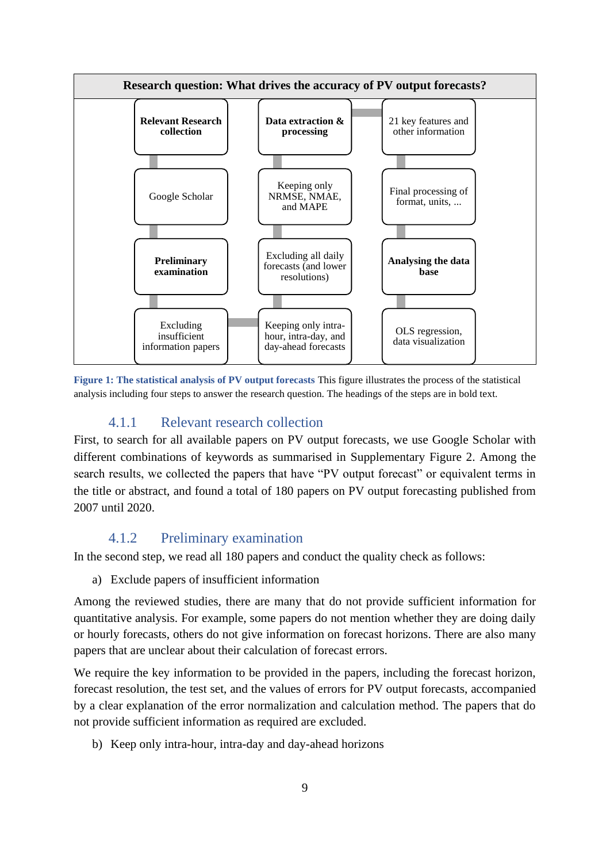

<span id="page-8-0"></span>**Figure 1: The statistical analysis of PV output forecasts** This figure illustrates the process of the statistical analysis including four steps to answer the research question. The headings of the steps are in bold text.

# 4.1.1 Relevant research collection

First, to search for all available papers on PV output forecasts, we use Google Scholar with different combinations of keywords as summarised in [Supplementary Figure 2.](#page-28-0) Among the search results, we collected the papers that have "PV output forecast" or equivalent terms in the title or abstract, and found a total of 180 papers on PV output forecasting published from 2007 until 2020.

# 4.1.2 Preliminary examination

In the second step, we read all 180 papers and conduct the quality check as follows:

a) Exclude papers of insufficient information

Among the reviewed studies, there are many that do not provide sufficient information for quantitative analysis. For example, some papers do not mention whether they are doing daily or hourly forecasts, others do not give information on forecast horizons. There are also many papers that are unclear about their calculation of forecast errors.

We require the key information to be provided in the papers, including the forecast horizon, forecast resolution, the test set, and the values of errors for PV output forecasts, accompanied by a clear explanation of the error normalization and calculation method. The papers that do not provide sufficient information as required are excluded.

b) Keep only intra-hour, intra-day and day-ahead horizons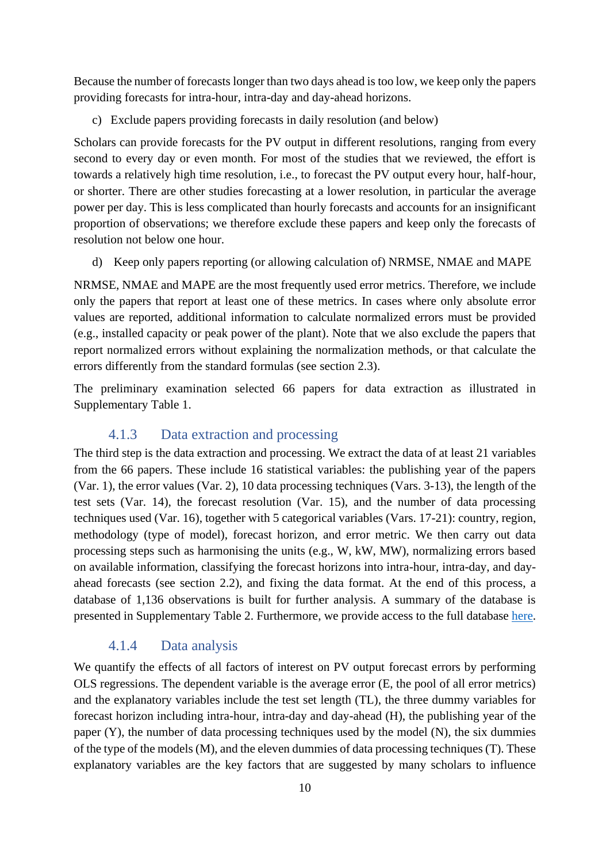Because the number of forecasts longer than two days ahead is too low, we keep only the papers providing forecasts for intra-hour, intra-day and day-ahead horizons.

c) Exclude papers providing forecasts in daily resolution (and below)

Scholars can provide forecasts for the PV output in different resolutions, ranging from every second to every day or even month. For most of the studies that we reviewed, the effort is towards a relatively high time resolution, i.e., to forecast the PV output every hour, half-hour, or shorter. There are other studies forecasting at a lower resolution, in particular the average power per day. This is less complicated than hourly forecasts and accounts for an insignificant proportion of observations; we therefore exclude these papers and keep only the forecasts of resolution not below one hour.

d) Keep only papers reporting (or allowing calculation of) NRMSE, NMAE and MAPE

NRMSE, NMAE and MAPE are the most frequently used error metrics. Therefore, we include only the papers that report at least one of these metrics. In cases where only absolute error values are reported, additional information to calculate normalized errors must be provided (e.g., installed capacity or peak power of the plant). Note that we also exclude the papers that report normalized errors without explaining the normalization methods, or that calculate the errors differently from the standard formulas (see section [2.3\)](#page-4-0).

The preliminary examination selected 66 papers for data extraction as illustrated in [Supplementary Table 1.](#page-29-0)

### 4.1.3 Data extraction and processing

The third step is the data extraction and processing. We extract the data of at least 21 variables from the 66 papers. These include 16 statistical variables: the publishing year of the papers (Var. 1), the error values (Var. 2), 10 data processing techniques (Vars. 3-13), the length of the test sets (Var. 14), the forecast resolution (Var. 15), and the number of data processing techniques used (Var. 16), together with 5 categorical variables (Vars. 17-21): country, region, methodology (type of model), forecast horizon, and error metric. We then carry out data processing steps such as harmonising the units (e.g., W, kW, MW), normalizing errors based on available information, classifying the forecast horizons into intra-hour, intra-day, and dayahead forecasts (see section [2.2\)](#page-4-1), and fixing the data format. At the end of this process, a database of 1,136 observations is built for further analysis. A summary of the database is presented in [Supplementary Table 2.](#page-32-0) Furthermore, we provide access to the full database [here.](https://doi.org/10.5281/zenodo.5589771)

# 4.1.4 Data analysis

We quantify the effects of all factors of interest on PV output forecast errors by performing OLS regressions. The dependent variable is the average error (E, the pool of all error metrics) and the explanatory variables include the test set length (TL), the three dummy variables for forecast horizon including intra-hour, intra-day and day-ahead (H), the publishing year of the paper (Y), the number of data processing techniques used by the model (N), the six dummies of the type of the models (M), and the eleven dummies of data processing techniques (T). These explanatory variables are the key factors that are suggested by many scholars to influence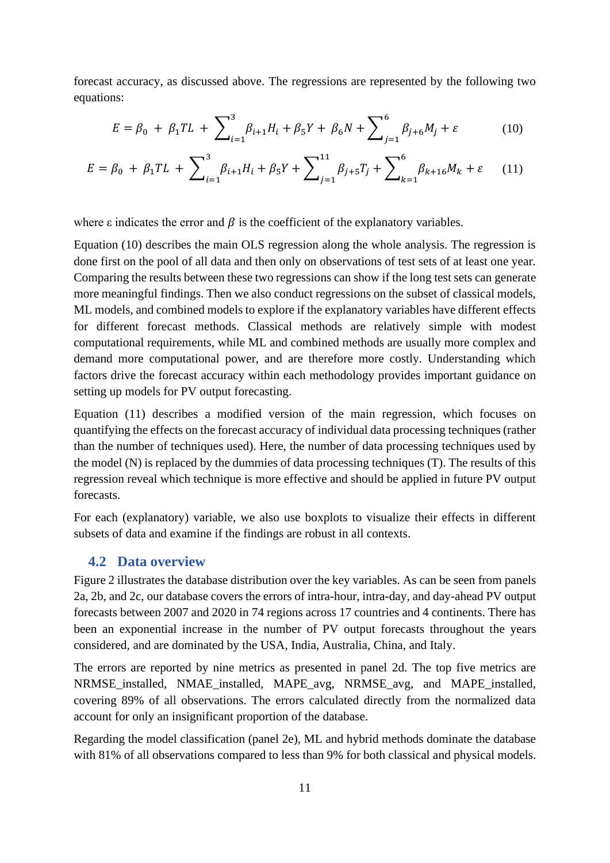forecast accuracy, as discussed above. The regressions are represented by the following two equations:

<span id="page-10-2"></span><span id="page-10-1"></span><span id="page-10-0"></span>
$$
E = \beta_0 + \beta_1 T L + \sum_{i=1}^3 \beta_{i+1} H_i + \beta_5 Y + \beta_6 N + \sum_{j=1}^6 \beta_{j+6} M_j + \varepsilon \tag{10}
$$

$$
E = \beta_0 + \beta_1 T L + \sum_{i=1}^3 \beta_{i+1} H_i + \beta_5 Y + \sum_{j=1}^{11} \beta_{j+5} T_j + \sum_{k=1}^6 \beta_{k+16} M_k + \varepsilon \tag{11}
$$

where  $\varepsilon$  indicates the error and  $\beta$  is the coefficient of the explanatory variables.

Equation [\(10\)](#page-10-0) describes the main OLS regression along the whole analysis. The regression is done first on the pool of all data and then only on observations of test sets of at least one year. Comparing the results between these two regressions can show if the long test sets can generate more meaningful findings. Then we also conduct regressions on the subset of classical models, ML models, and combined models to explore if the explanatory variables have different effects for different forecast methods. Classical methods are relatively simple with modest computational requirements, while ML and combined methods are usually more complex and demand more computational power, and are therefore more costly. Understanding which factors drive the forecast accuracy within each methodology provides important guidance on setting up models for PV output forecasting.

Equation [\(11\)](#page-10-1) describes a modified version of the main regression, which focuses on quantifying the effects on the forecast accuracy of individual data processing techniques (rather than the number of techniques used). Here, the number of data processing techniques used by the model (N) is replaced by the dummies of data processing techniques (T). The results of this regression reveal which technique is more effective and should be applied in future PV output forecasts.

For each (explanatory) variable, we also use boxplots to visualize their effects in different subsets of data and examine if the findings are robust in all contexts.

### **4.2 Data overview**

[Figure 2](#page-11-0) illustrates the database distribution over the key variables. As can be seen from panels 2a, 2b, and 2c, our database covers the errors of intra-hour, intra-day, and day-ahead PV output forecasts between 2007 and 2020 in 74 regions across 17 countries and 4 continents. There has been an exponential increase in the number of PV output forecasts throughout the years considered, and are dominated by the USA, India, Australia, China, and Italy.

The errors are reported by nine metrics as presented in panel 2d. The top five metrics are NRMSE\_installed, NMAE\_installed, MAPE\_avg, NRMSE\_avg, and MAPE\_installed, covering 89% of all observations. The errors calculated directly from the normalized data account for only an insignificant proportion of the database.

Regarding the model classification (panel 2e), ML and hybrid methods dominate the database with 81% of all observations compared to less than 9% for both classical and physical models.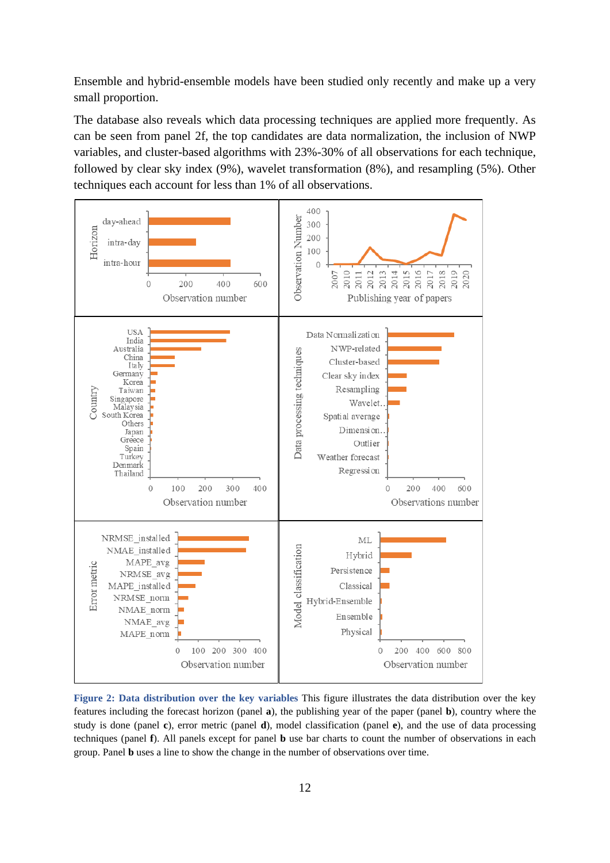Ensemble and hybrid-ensemble models have been studied only recently and make up a very small proportion.

The database also reveals which data processing techniques are applied more frequently. As can be seen from panel 2f, the top candidates are data normalization, the inclusion of NWP variables, and cluster-based algorithms with 23%-30% of all observations for each technique, followed by clear sky index (9%), wavelet transformation (8%), and resampling (5%). Other techniques each account for less than 1% of all observations.



<span id="page-11-0"></span>**Figure 2: Data distribution over the key variables** This figure illustrates the data distribution over the key features including the forecast horizon (panel **a**), the publishing year of the paper (panel **b**), country where the study is done (panel **c**), error metric (panel **d**), model classification (panel **e**), and the use of data processing techniques (panel **f**). All panels except for panel **b** use bar charts to count the number of observations in each group. Panel **b** uses a line to show the change in the number of observations over time.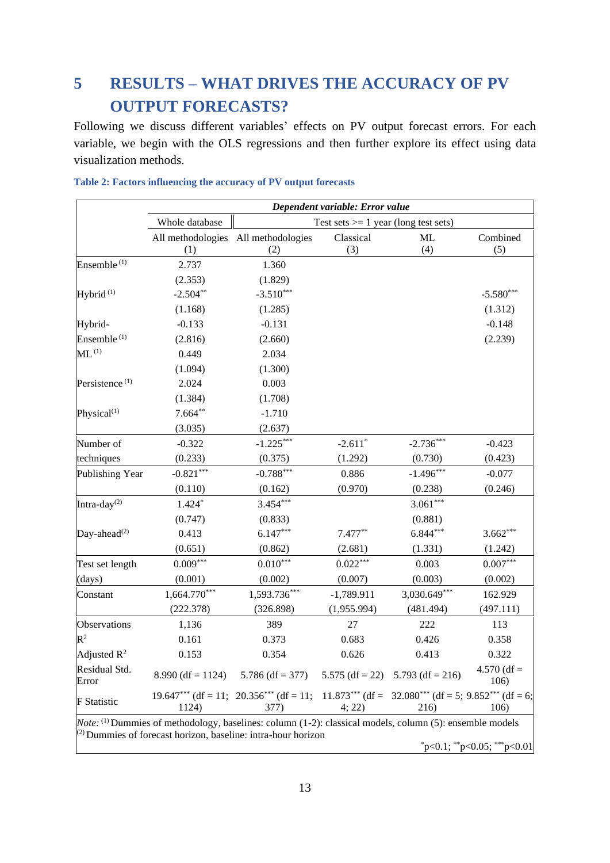# <span id="page-12-0"></span>**5 RESULTS – WHAT DRIVES THE ACCURACY OF PV OUTPUT FORECASTS?**

Following we discuss different variables' effects on PV output forecast errors. For each variable, we begin with the OLS regressions and then further explore its effect using data visualization methods.

|                            |                                                                                                                                                                                              |                                                                                                                    | Dependent variable: Error value        |              |                       |
|----------------------------|----------------------------------------------------------------------------------------------------------------------------------------------------------------------------------------------|--------------------------------------------------------------------------------------------------------------------|----------------------------------------|--------------|-----------------------|
|                            | Whole database                                                                                                                                                                               |                                                                                                                    | Test sets $>= 1$ year (long test sets) |              |                       |
|                            |                                                                                                                                                                                              | All methodologies All methodologies                                                                                | Classical                              | <b>ML</b>    | Combined              |
|                            | (1)                                                                                                                                                                                          | (2)                                                                                                                | (3)                                    | (4)          | (5)                   |
| Ensemble <sup>(1)</sup>    | 2.737                                                                                                                                                                                        | 1.360                                                                                                              |                                        |              |                       |
|                            | (2.353)                                                                                                                                                                                      | (1.829)                                                                                                            |                                        |              |                       |
| Hybrid $(1)$               | $-2.504**$                                                                                                                                                                                   | $-3.510***$                                                                                                        |                                        |              | $-5.580***$           |
|                            | (1.168)                                                                                                                                                                                      | (1.285)                                                                                                            |                                        |              | (1.312)               |
| Hybrid-                    | $-0.133$                                                                                                                                                                                     | $-0.131$                                                                                                           |                                        |              | $-0.148$              |
| Ensemble <sup>(1)</sup>    | (2.816)                                                                                                                                                                                      | (2.660)                                                                                                            |                                        |              | (2.239)               |
| $ML^{(1)}$                 | 0.449                                                                                                                                                                                        | 2.034                                                                                                              |                                        |              |                       |
|                            | (1.094)                                                                                                                                                                                      | (1.300)                                                                                                            |                                        |              |                       |
| Persistence <sup>(1)</sup> | 2.024                                                                                                                                                                                        | 0.003                                                                                                              |                                        |              |                       |
|                            | (1.384)                                                                                                                                                                                      | (1.708)                                                                                                            |                                        |              |                       |
| Physical <sup>(1)</sup>    | $7.664**$                                                                                                                                                                                    | $-1.710$                                                                                                           |                                        |              |                       |
|                            | (3.035)                                                                                                                                                                                      | (2.637)                                                                                                            |                                        |              |                       |
| Number of                  | $-0.322$                                                                                                                                                                                     | $-1.225***$                                                                                                        | $-2.611*$                              | $-2.736***$  | $-0.423$              |
| techniques                 | (0.233)                                                                                                                                                                                      | (0.375)                                                                                                            | (1.292)                                | (0.730)      | (0.423)               |
| Publishing Year            | $-0.821***$                                                                                                                                                                                  | $-0.788***$                                                                                                        | 0.886                                  | $-1.496***$  | $-0.077$              |
|                            | (0.110)                                                                                                                                                                                      | (0.162)                                                                                                            | (0.970)                                | (0.238)      | (0.246)               |
| Intra-day <sup>(2)</sup>   | $1.424*$                                                                                                                                                                                     | $3.454***$                                                                                                         |                                        | $3.061***$   |                       |
|                            | (0.747)                                                                                                                                                                                      | (0.833)                                                                                                            |                                        | (0.881)      |                       |
| Day-ahead $^{(2)}$         | 0.413                                                                                                                                                                                        | $6.147***$                                                                                                         | $7.477**$                              | $6.844***$   | $3.662***$            |
|                            | (0.651)                                                                                                                                                                                      | (0.862)                                                                                                            | (2.681)                                | (1.331)      | (1.242)               |
| Test set length            | $0.009***$                                                                                                                                                                                   | $0.010***$                                                                                                         | $0.022***$                             | 0.003        | $0.007***$            |
| (days)                     | (0.001)                                                                                                                                                                                      | (0.002)                                                                                                            | (0.007)                                | (0.003)      | (0.002)               |
| Constant                   | $1,664.770***$                                                                                                                                                                               | 1,593.736***                                                                                                       | $-1,789.911$                           | 3,030.649*** | 162.929               |
|                            | (222.378)                                                                                                                                                                                    | (326.898)                                                                                                          | (1,955.994)                            | (481.494)    | (497.111)             |
| Observations               | 1,136                                                                                                                                                                                        | 389                                                                                                                | 27                                     | 222          | 113                   |
| $R^2$                      | 0.161                                                                                                                                                                                        | 0.373                                                                                                              | 0.683                                  | 0.426        | 0.358                 |
| Adjusted $\mathbb{R}^2$    | 0.153                                                                                                                                                                                        | 0.354                                                                                                              | 0.626                                  | 0.413        | 0.322                 |
| Residual Std.<br>Error     |                                                                                                                                                                                              | 8.990 (df = 1124) $5.786$ (df = 377) $5.575$ (df = 22) $5.793$ (df = 216)                                          |                                        |              | $4.570$ (df =<br>106) |
| <b>F</b> Statistic         |                                                                                                                                                                                              | $19.647***$ (df = 11; $20.356***$ (df = 11; $11.873***$ (df = 32.080 <sup>***</sup> ) (df = 5; $9.852***$ (df = 6; |                                        |              |                       |
|                            | 1124)                                                                                                                                                                                        | 377)                                                                                                               | 4; 22)                                 | 216)         | 106)                  |
|                            | <i>Note</i> : <sup>(1)</sup> Dummies of methodology, baselines: column (1-2): classical models, column (5): ensemble models<br>(2) Dummies of forecast horizon, baseline: intra-hour horizon |                                                                                                                    |                                        |              |                       |

<span id="page-12-1"></span>**Table 2: Factors influencing the accuracy of PV output forecasts**

 $*p<0.1$ ;  $*p<0.05$ ;  $**p<0.01$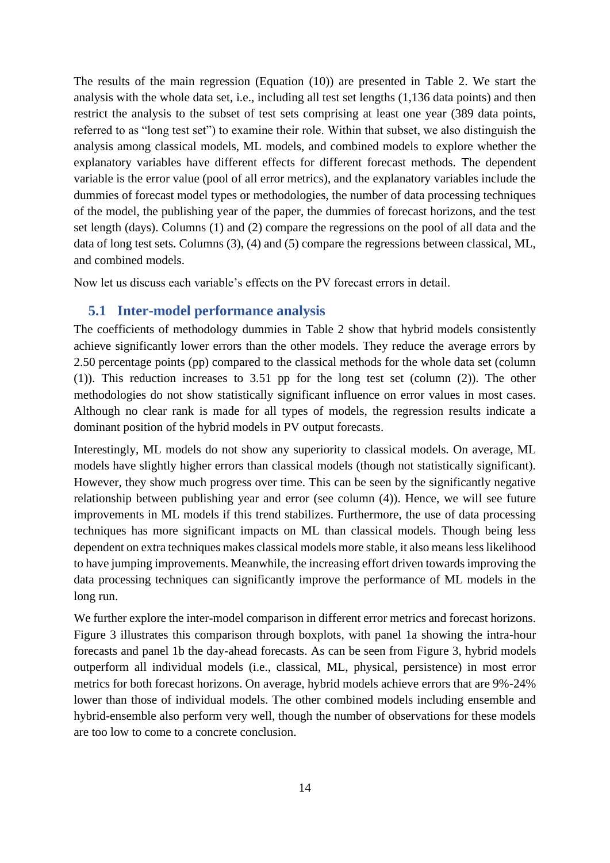The results of the main regression (Equation [\(10\)\)](#page-10-0) are presented in [Table 2.](#page-12-1) We start the analysis with the whole data set, i.e., including all test set lengths (1,136 data points) and then restrict the analysis to the subset of test sets comprising at least one year (389 data points, referred to as "long test set") to examine their role. Within that subset, we also distinguish the analysis among classical models, ML models, and combined models to explore whether the explanatory variables have different effects for different forecast methods. The dependent variable is the error value (pool of all error metrics), and the explanatory variables include the dummies of forecast model types or methodologies, the number of data processing techniques of the model, the publishing year of the paper, the dummies of forecast horizons, and the test set length (days). Columns (1) and (2) compare the regressions on the pool of all data and the data of long test sets. Columns (3), (4) and (5) compare the regressions between classical, ML, and combined models.

Now let us discuss each variable's effects on the PV forecast errors in detail.

### **5.1 Inter-model performance analysis**

The coefficients of methodology dummies in [Table 2](#page-12-1) show that hybrid models consistently achieve significantly lower errors than the other models. They reduce the average errors by 2.50 percentage points (pp) compared to the classical methods for the whole data set (column (1)). This reduction increases to 3.51 pp for the long test set (column (2)). The other methodologies do not show statistically significant influence on error values in most cases. Although no clear rank is made for all types of models, the regression results indicate a dominant position of the hybrid models in PV output forecasts.

Interestingly, ML models do not show any superiority to classical models. On average, ML models have slightly higher errors than classical models (though not statistically significant). However, they show much progress over time. This can be seen by the significantly negative relationship between publishing year and error (see column (4)). Hence, we will see future improvements in ML models if this trend stabilizes. Furthermore, the use of data processing techniques has more significant impacts on ML than classical models. Though being less dependent on extra techniques makes classical models more stable, it also means less likelihood to have jumping improvements. Meanwhile, the increasing effort driven towards improving the data processing techniques can significantly improve the performance of ML models in the long run.

We further explore the inter-model comparison in different error metrics and forecast horizons. [Figure 3](#page-14-0) illustrates this comparison through boxplots, with panel 1a showing the intra-hour forecasts and panel 1b the day-ahead forecasts. As can be seen from [Figure 3,](#page-14-0) hybrid models outperform all individual models (i.e., classical, ML, physical, persistence) in most error metrics for both forecast horizons. On average, hybrid models achieve errors that are 9%-24% lower than those of individual models. The other combined models including ensemble and hybrid-ensemble also perform very well, though the number of observations for these models are too low to come to a concrete conclusion.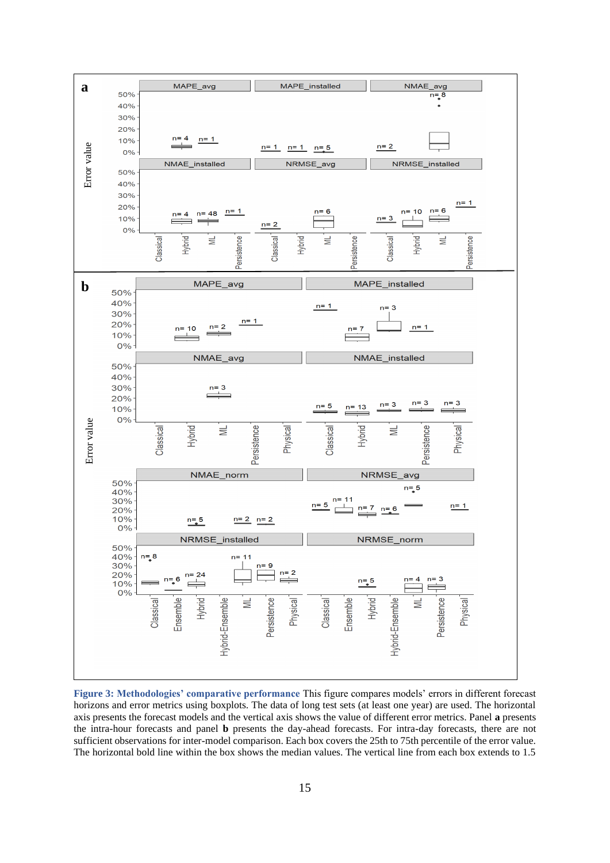

<span id="page-14-0"></span>**Figure 3: Methodologies' comparative performance** This figure compares models' errors in different forecast horizons and error metrics using boxplots. The data of long test sets (at least one year) are used. The horizontal axis presents the forecast models and the vertical axis shows the value of different error metrics. Panel **a** presents the intra-hour forecasts and panel **b** presents the day-ahead forecasts. For intra-day forecasts, there are not sufficient observations for inter-model comparison. Each box covers the 25th to 75th percentile of the error value. The horizontal bold line within the box shows the median values. The vertical line from each box extends to 1.5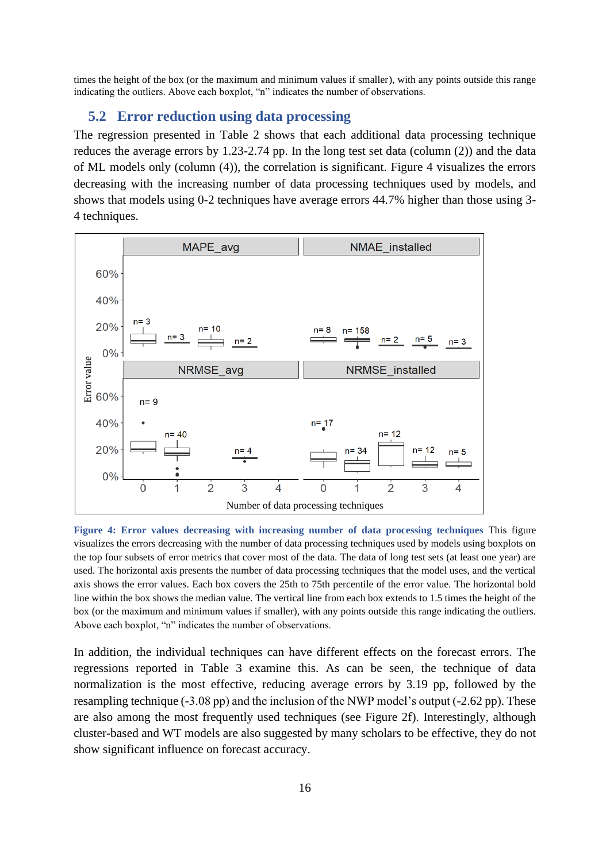times the height of the box (or the maximum and minimum values if smaller), with any points outside this range indicating the outliers. Above each boxplot, "n" indicates the number of observations.

### **5.2 Error reduction using data processing**

The regression presented in [Table 2](#page-12-1) shows that each additional data processing technique reduces the average errors by 1.23-2.74 pp. In the long test set data (column (2)) and the data of ML models only (column (4)), the correlation is significant. [Figure 4](#page-15-0) visualizes the errors decreasing with the increasing number of data processing techniques used by models, and shows that models using 0-2 techniques have average errors 44.7% higher than those using 3- 4 techniques.



<span id="page-15-0"></span>**Figure 4: Error values decreasing with increasing number of data processing techniques** This figure visualizes the errors decreasing with the number of data processing techniques used by models using boxplots on the top four subsets of error metrics that cover most of the data. The data of long test sets (at least one year) are used. The horizontal axis presents the number of data processing techniques that the model uses, and the vertical axis shows the error values. Each box covers the 25th to 75th percentile of the error value. The horizontal bold line within the box shows the median value. The vertical line from each box extends to 1.5 times the height of the box (or the maximum and minimum values if smaller), with any points outside this range indicating the outliers. Above each boxplot, "n" indicates the number of observations.

In addition, the individual techniques can have different effects on the forecast errors. The regressions reported in [Table 3](#page-16-0) examine this. As can be seen, the technique of data normalization is the most effective, reducing average errors by 3.19 pp, followed by the resampling technique (-3.08 pp) and the inclusion of the NWP model's output (-2.62 pp). These are also among the most frequently used techniques (see [Figure 2f](#page-11-0)). Interestingly, although cluster-based and WT models are also suggested by many scholars to be effective, they do not show significant influence on forecast accuracy.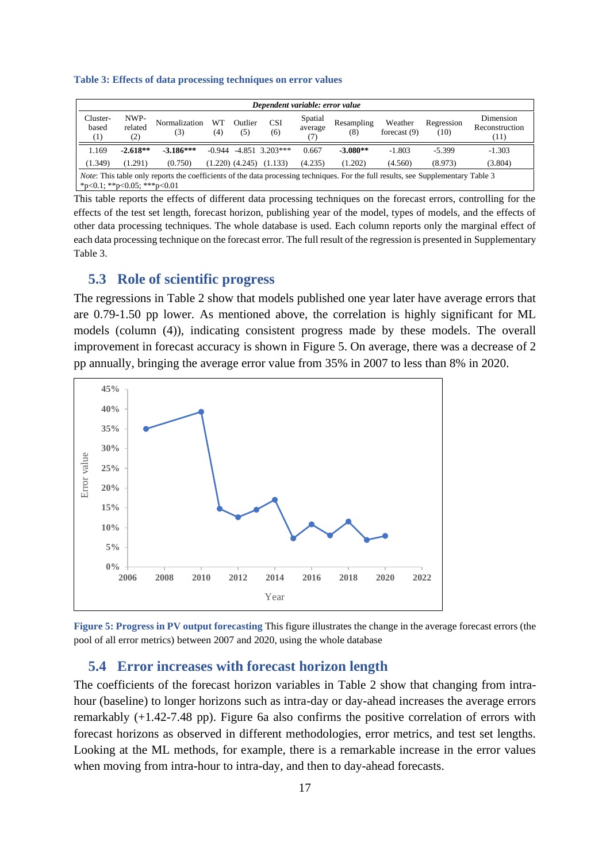#### <span id="page-16-0"></span>**Table 3: Effects of data processing techniques on error values**

|                                                                                                                                                                         | Dependent variable: error value |                      |           |                     |                   |                           |                   |                           |                    |                                     |
|-------------------------------------------------------------------------------------------------------------------------------------------------------------------------|---------------------------------|----------------------|-----------|---------------------|-------------------|---------------------------|-------------------|---------------------------|--------------------|-------------------------------------|
| Cluster-<br>based<br>(1)                                                                                                                                                | NWP-<br>related<br>(2)          | Normalization<br>(3) | WT<br>(4) | Outlier<br>(5)      | <b>CSI</b><br>(6) | Spatial<br>average<br>(7) | Resampling<br>(8) | Weather<br>forecast $(9)$ | Regression<br>(10) | Dimension<br>Reconstruction<br>(11) |
| 1.169                                                                                                                                                                   | $-2.618**$                      | $-3.186***$          | $-0.944$  |                     | $-4.851$ 3.203*** | 0.667                     | $-3.080**$        | $-1.803$                  | $-5.399$           | $-1.303$                            |
| (1.349)                                                                                                                                                                 | (1.291)                         | (0.750)              |           | $(1.220)$ $(4.245)$ | (1.133)           | (4.235)                   | (1.202)           | (4.560)                   | (8.973)            | (3.804)                             |
| <i>Note:</i> This table only reports the coefficients of the data processing techniques. For the full results, see Supplementary Table 3<br>*p<0.1; **p<0.05; ***p<0.01 |                                 |                      |           |                     |                   |                           |                   |                           |                    |                                     |

This table reports the effects of different data processing techniques on the forecast errors, controlling for the effects of the test set length, forecast horizon, publishing year of the model, types of models, and the effects of other data processing techniques. The whole database is used. Each column reports only the marginal effect of each data processing technique on the forecast error. The full result of the regression is presented in [Supplementary](#page-33-0)  [Table 3.](#page-33-0)

### **5.3 Role of scientific progress**

The regressions in [Table 2](#page-12-1) show that models published one year later have average errors that are 0.79-1.50 pp lower. As mentioned above, the correlation is highly significant for ML models (column (4)), indicating consistent progress made by these models. The overall improvement in forecast accuracy is shown in [Figure 5.](#page-16-1) On average, there was a decrease of 2 pp annually, bringing the average error value from 35% in 2007 to less than 8% in 2020.



<span id="page-16-1"></span>**Figure 5: Progress in PV output forecasting** This figure illustrates the change in the average forecast errors (the pool of all error metrics) between 2007 and 2020, using the whole database

### **5.4 Error increases with forecast horizon length**

The coefficients of the forecast horizon variables in [Table 2](#page-12-1) show that changing from intrahour (baseline) to longer horizons such as intra-day or day-ahead increases the average errors remarkably (+1.42-7.48 pp). [Figure 6a](#page-18-0) also confirms the positive correlation of errors with forecast horizons as observed in different methodologies, error metrics, and test set lengths. Looking at the ML methods, for example, there is a remarkable increase in the error values when moving from intra-hour to intra-day, and then to day-ahead forecasts.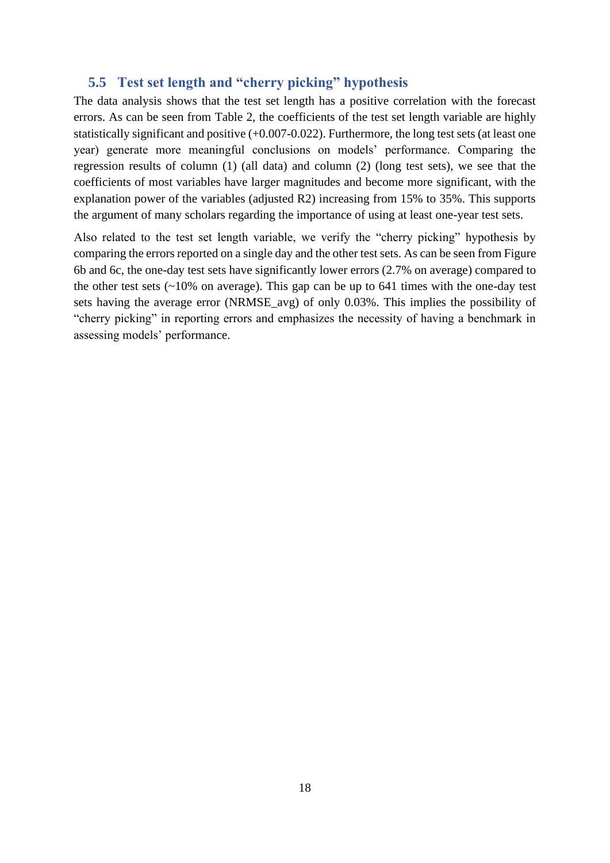# **5.5 Test set length and "cherry picking" hypothesis**

The data analysis shows that the test set length has a positive correlation with the forecast errors. As can be seen from [Table 2,](#page-12-1) the coefficients of the test set length variable are highly statistically significant and positive (+0.007-0.022). Furthermore, the long test sets (at least one year) generate more meaningful conclusions on models' performance. Comparing the regression results of column (1) (all data) and column (2) (long test sets), we see that the coefficients of most variables have larger magnitudes and become more significant, with the explanation power of the variables (adjusted R2) increasing from 15% to 35%. This supports the argument of many scholars regarding the importance of using at least one-year test sets.

Also related to the test set length variable, we verify the "cherry picking" hypothesis by comparing the errors reported on a single day and the other test sets. As can be seen from [Figure](#page-18-0)  [6b](#page-18-0) and 6c, the one-day test sets have significantly lower errors (2.7% on average) compared to the other test sets  $(\sim 10\%$  on average). This gap can be up to 641 times with the one-day test sets having the average error (NRMSE\_avg) of only 0.03%. This implies the possibility of "cherry picking" in reporting errors and emphasizes the necessity of having a benchmark in assessing models' performance.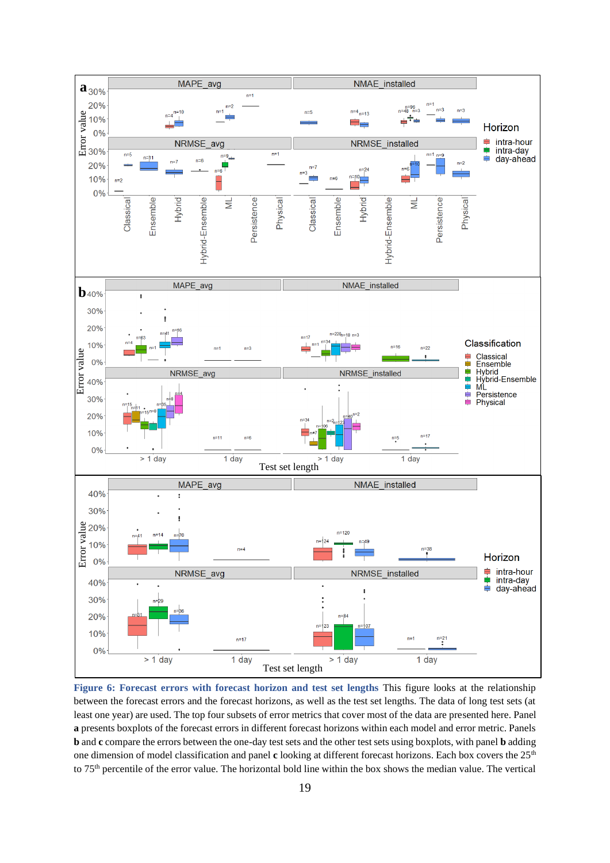

<span id="page-18-0"></span>**Figure 6: Forecast errors with forecast horizon and test set lengths** This figure looks at the relationship between the forecast errors and the forecast horizons, as well as the test set lengths. The data of long test sets (at least one year) are used. The top four subsets of error metrics that cover most of the data are presented here. Panel **a** presents boxplots of the forecast errors in different forecast horizons within each model and error metric. Panels **b** and **c** compare the errors between the one-day test sets and the other test sets using boxplots, with panel **b** adding one dimension of model classification and panel **c** looking at different forecast horizons. Each box covers the 25th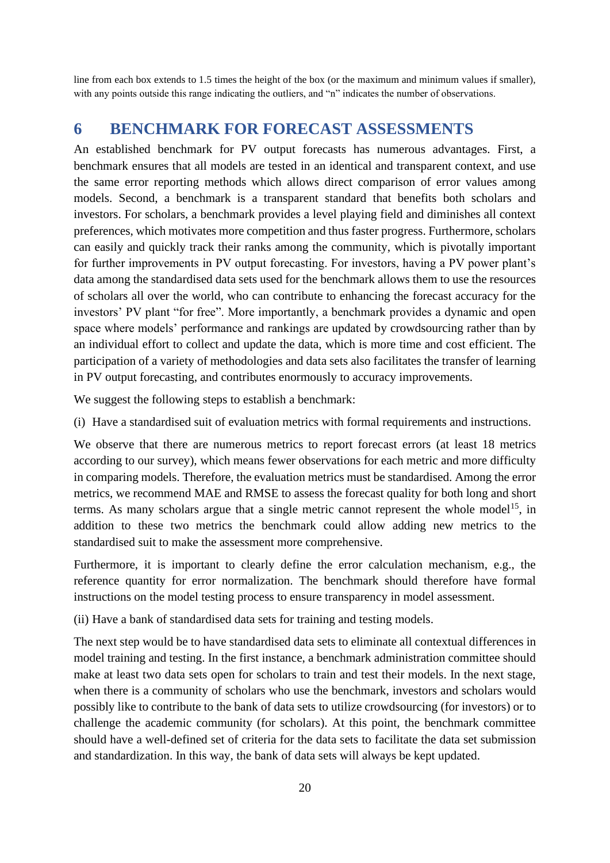line from each box extends to 1.5 times the height of the box (or the maximum and minimum values if smaller), with any points outside this range indicating the outliers, and "n" indicates the number of observations.

# <span id="page-19-0"></span>**6 BENCHMARK FOR FORECAST ASSESSMENTS**

An established benchmark for PV output forecasts has numerous advantages. First, a benchmark ensures that all models are tested in an identical and transparent context, and use the same error reporting methods which allows direct comparison of error values among models. Second, a benchmark is a transparent standard that benefits both scholars and investors. For scholars, a benchmark provides a level playing field and diminishes all context preferences, which motivates more competition and thus faster progress. Furthermore, scholars can easily and quickly track their ranks among the community, which is pivotally important for further improvements in PV output forecasting. For investors, having a PV power plant's data among the standardised data sets used for the benchmark allows them to use the resources of scholars all over the world, who can contribute to enhancing the forecast accuracy for the investors' PV plant "for free". More importantly, a benchmark provides a dynamic and open space where models' performance and rankings are updated by crowdsourcing rather than by an individual effort to collect and update the data, which is more time and cost efficient. The participation of a variety of methodologies and data sets also facilitates the transfer of learning in PV output forecasting, and contributes enormously to accuracy improvements.

We suggest the following steps to establish a benchmark:

(i) Have a standardised suit of evaluation metrics with formal requirements and instructions.

We observe that there are numerous metrics to report forecast errors (at least 18 metrics according to our survey), which means fewer observations for each metric and more difficulty in comparing models. Therefore, the evaluation metrics must be standardised. Among the error metrics, we recommend MAE and RMSE to assess the forecast quality for both long and short terms. As many scholars argue that a single metric cannot represent the whole model<sup>[15](#page-22-0)</sup>, in addition to these two metrics the benchmark could allow adding new metrics to the standardised suit to make the assessment more comprehensive.

Furthermore, it is important to clearly define the error calculation mechanism, e.g., the reference quantity for error normalization. The benchmark should therefore have formal instructions on the model testing process to ensure transparency in model assessment.

(ii) Have a bank of standardised data sets for training and testing models.

The next step would be to have standardised data sets to eliminate all contextual differences in model training and testing. In the first instance, a benchmark administration committee should make at least two data sets open for scholars to train and test their models. In the next stage, when there is a community of scholars who use the benchmark, investors and scholars would possibly like to contribute to the bank of data sets to utilize crowdsourcing (for investors) or to challenge the academic community (for scholars). At this point, the benchmark committee should have a well-defined set of criteria for the data sets to facilitate the data set submission and standardization. In this way, the bank of data sets will always be kept updated.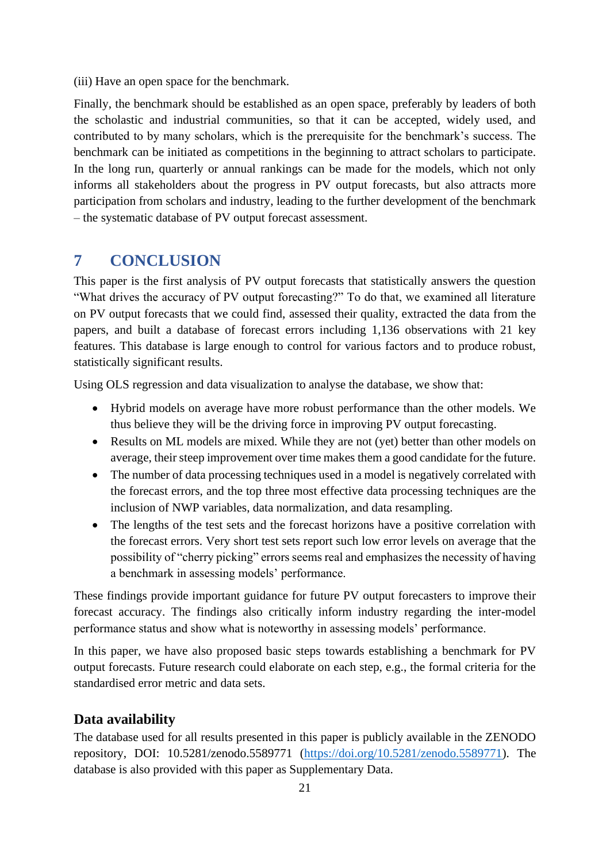(iii) Have an open space for the benchmark.

Finally, the benchmark should be established as an open space, preferably by leaders of both the scholastic and industrial communities, so that it can be accepted, widely used, and contributed to by many scholars, which is the prerequisite for the benchmark's success. The benchmark can be initiated as competitions in the beginning to attract scholars to participate. In the long run, quarterly or annual rankings can be made for the models, which not only informs all stakeholders about the progress in PV output forecasts, but also attracts more participation from scholars and industry, leading to the further development of the benchmark – the systematic database of PV output forecast assessment.

# <span id="page-20-0"></span>**7 CONCLUSION**

This paper is the first analysis of PV output forecasts that statistically answers the question "What drives the accuracy of PV output forecasting?" To do that, we examined all literature on PV output forecasts that we could find, assessed their quality, extracted the data from the papers, and built a database of forecast errors including 1,136 observations with 21 key features. This database is large enough to control for various factors and to produce robust, statistically significant results.

Using OLS regression and data visualization to analyse the database, we show that:

- Hybrid models on average have more robust performance than the other models. We thus believe they will be the driving force in improving PV output forecasting.
- Results on ML models are mixed. While they are not (yet) better than other models on average, their steep improvement over time makes them a good candidate for the future.
- The number of data processing techniques used in a model is negatively correlated with the forecast errors, and the top three most effective data processing techniques are the inclusion of NWP variables, data normalization, and data resampling.
- The lengths of the test sets and the forecast horizons have a positive correlation with the forecast errors. Very short test sets report such low error levels on average that the possibility of "cherry picking" errors seems real and emphasizes the necessity of having a benchmark in assessing models' performance.

These findings provide important guidance for future PV output forecasters to improve their forecast accuracy. The findings also critically inform industry regarding the inter-model performance status and show what is noteworthy in assessing models' performance.

In this paper, we have also proposed basic steps towards establishing a benchmark for PV output forecasts. Future research could elaborate on each step, e.g., the formal criteria for the standardised error metric and data sets.

# **Data availability**

The database used for all results presented in this paper is publicly available in the ZENODO repository, DOI: 10.5281/zenodo.5589771 [\(https://doi.org/10.5281/zenodo.5589771\)](https://doi.org/10.5281/zenodo.5589771). The database is also provided with this paper as Supplementary Data.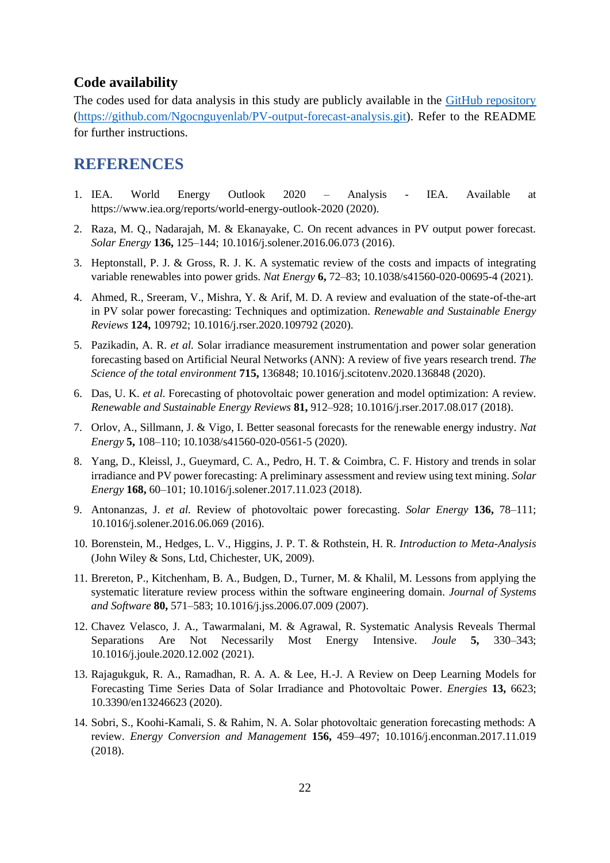### **Code availability**

The codes used for data analysis in this study are publicly available in the [GitHub repository](https://github.com/Ngocnguyenlab/PV-output-forecast-analysis.git) [\(https://github.com/Ngocnguyenlab/PV-output-forecast-analysis.git\)](https://github.com/Ngocnguyenlab/PV-output-forecast-analysis.git). Refer to the README for further instructions.

# **REFERENCES**

- <span id="page-21-0"></span>1. IEA. World Energy Outlook 2020 – Analysis - IEA. Available at https://www.iea.org/reports/world-energy-outlook-2020 (2020).
- <span id="page-21-1"></span>2. Raza, M. Q., Nadarajah, M. & Ekanayake, C. On recent advances in PV output power forecast. *Solar Energy* **136,** 125–144; 10.1016/j.solener.2016.06.073 (2016).
- <span id="page-21-2"></span>3. Heptonstall, P. J. & Gross, R. J. K. A systematic review of the costs and impacts of integrating variable renewables into power grids. *Nat Energy* **6,** 72–83; 10.1038/s41560-020-00695-4 (2021).
- <span id="page-21-3"></span>4. Ahmed, R., Sreeram, V., Mishra, Y. & Arif, M. D. A review and evaluation of the state-of-the-art in PV solar power forecasting: Techniques and optimization. *Renewable and Sustainable Energy Reviews* **124,** 109792; 10.1016/j.rser.2020.109792 (2020).
- <span id="page-21-13"></span>5. Pazikadin, A. R. *et al.* Solar irradiance measurement instrumentation and power solar generation forecasting based on Artificial Neural Networks (ANN): A review of five years research trend. *The Science of the total environment* **715,** 136848; 10.1016/j.scitotenv.2020.136848 (2020).
- <span id="page-21-12"></span>6. Das, U. K. *et al.* Forecasting of photovoltaic power generation and model optimization: A review. *Renewable and Sustainable Energy Reviews* **81,** 912–928; 10.1016/j.rser.2017.08.017 (2018).
- <span id="page-21-4"></span>7. Orlov, A., Sillmann, J. & Vigo, I. Better seasonal forecasts for the renewable energy industry. *Nat Energy* **5,** 108–110; 10.1038/s41560-020-0561-5 (2020).
- <span id="page-21-5"></span>8. Yang, D., Kleissl, J., Gueymard, C. A., Pedro, H. T. & Coimbra, C. F. History and trends in solar irradiance and PV power forecasting: A preliminary assessment and review using text mining. *Solar Energy* **168,** 60–101; 10.1016/j.solener.2017.11.023 (2018).
- <span id="page-21-6"></span>9. Antonanzas, J. *et al.* Review of photovoltaic power forecasting. *Solar Energy* **136,** 78–111; 10.1016/j.solener.2016.06.069 (2016).
- <span id="page-21-7"></span>10. Borenstein, M., Hedges, L. V., Higgins, J. P. T. & Rothstein, H. R. *Introduction to Meta-Analysis*  (John Wiley & Sons, Ltd, Chichester, UK, 2009).
- <span id="page-21-8"></span>11. Brereton, P., Kitchenham, B. A., Budgen, D., Turner, M. & Khalil, M. Lessons from applying the systematic literature review process within the software engineering domain. *Journal of Systems and Software* **80,** 571–583; 10.1016/j.jss.2006.07.009 (2007).
- <span id="page-21-9"></span>12. Chavez Velasco, J. A., Tawarmalani, M. & Agrawal, R. Systematic Analysis Reveals Thermal Separations Are Not Necessarily Most Energy Intensive. *Joule* **5,** 330–343; 10.1016/j.joule.2020.12.002 (2021).
- <span id="page-21-10"></span>13. Rajagukguk, R. A., Ramadhan, R. A. A. & Lee, H.-J. A Review on Deep Learning Models for Forecasting Time Series Data of Solar Irradiance and Photovoltaic Power. *Energies* **13,** 6623; 10.3390/en13246623 (2020).
- <span id="page-21-11"></span>14. Sobri, S., Koohi-Kamali, S. & Rahim, N. A. Solar photovoltaic generation forecasting methods: A review. *Energy Conversion and Management* **156,** 459–497; 10.1016/j.enconman.2017.11.019 (2018).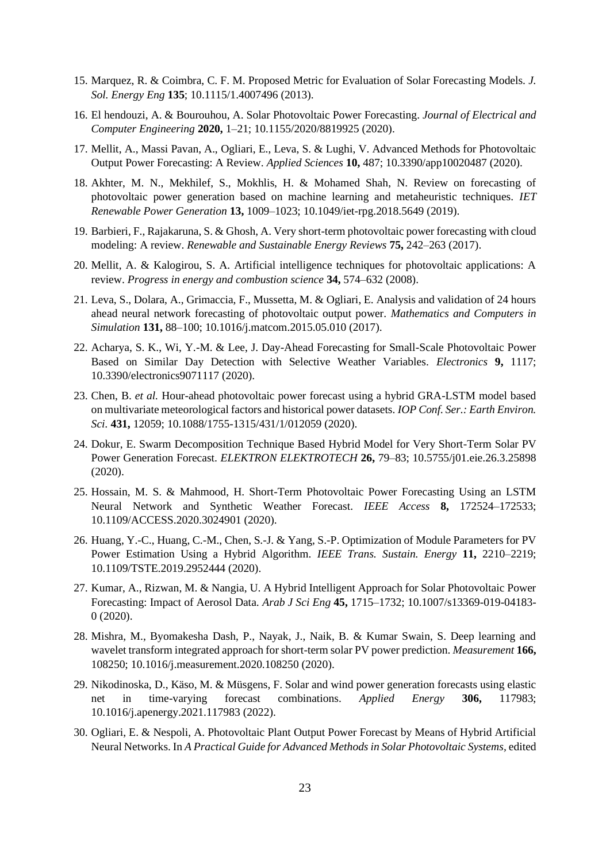- <span id="page-22-0"></span>15. Marquez, R. & Coimbra, C. F. M. Proposed Metric for Evaluation of Solar Forecasting Models. *J. Sol. Energy Eng* **135**; 10.1115/1.4007496 (2013).
- <span id="page-22-1"></span>16. El hendouzi, A. & Bourouhou, A. Solar Photovoltaic Power Forecasting. *Journal of Electrical and Computer Engineering* **2020,** 1–21; 10.1155/2020/8819925 (2020).
- <span id="page-22-2"></span>17. Mellit, A., Massi Pavan, A., Ogliari, E., Leva, S. & Lughi, V. Advanced Methods for Photovoltaic Output Power Forecasting: A Review. *Applied Sciences* **10,** 487; 10.3390/app10020487 (2020).
- <span id="page-22-3"></span>18. Akhter, M. N., Mekhilef, S., Mokhlis, H. & Mohamed Shah, N. Review on forecasting of photovoltaic power generation based on machine learning and metaheuristic techniques. *IET Renewable Power Generation* **13,** 1009–1023; 10.1049/iet-rpg.2018.5649 (2019).
- <span id="page-22-4"></span>19. Barbieri, F., Rajakaruna, S. & Ghosh, A. Very short-term photovoltaic power forecasting with cloud modeling: A review. *Renewable and Sustainable Energy Reviews* **75,** 242–263 (2017).
- <span id="page-22-5"></span>20. Mellit, A. & Kalogirou, S. A. Artificial intelligence techniques for photovoltaic applications: A review. *Progress in energy and combustion science* **34,** 574–632 (2008).
- <span id="page-22-6"></span>21. Leva, S., Dolara, A., Grimaccia, F., Mussetta, M. & Ogliari, E. Analysis and validation of 24 hours ahead neural network forecasting of photovoltaic output power. *Mathematics and Computers in Simulation* **131,** 88–100; 10.1016/j.matcom.2015.05.010 (2017).
- <span id="page-22-7"></span>22. Acharya, S. K., Wi, Y.-M. & Lee, J. Day-Ahead Forecasting for Small-Scale Photovoltaic Power Based on Similar Day Detection with Selective Weather Variables. *Electronics* **9,** 1117; 10.3390/electronics9071117 (2020).
- <span id="page-22-8"></span>23. Chen, B. *et al.* Hour-ahead photovoltaic power forecast using a hybrid GRA-LSTM model based on multivariate meteorological factors and historical power datasets. *IOP Conf. Ser.: Earth Environ. Sci.* **431,** 12059; 10.1088/1755-1315/431/1/012059 (2020).
- <span id="page-22-9"></span>24. Dokur, E. Swarm Decomposition Technique Based Hybrid Model for Very Short-Term Solar PV Power Generation Forecast. *ELEKTRON ELEKTROTECH* **26,** 79–83; 10.5755/j01.eie.26.3.25898 (2020).
- <span id="page-22-10"></span>25. Hossain, M. S. & Mahmood, H. Short-Term Photovoltaic Power Forecasting Using an LSTM Neural Network and Synthetic Weather Forecast. *IEEE Access* **8,** 172524–172533; 10.1109/ACCESS.2020.3024901 (2020).
- <span id="page-22-11"></span>26. Huang, Y.-C., Huang, C.-M., Chen, S.-J. & Yang, S.-P. Optimization of Module Parameters for PV Power Estimation Using a Hybrid Algorithm. *IEEE Trans. Sustain. Energy* **11,** 2210–2219; 10.1109/TSTE.2019.2952444 (2020).
- <span id="page-22-12"></span>27. Kumar, A., Rizwan, M. & Nangia, U. A Hybrid Intelligent Approach for Solar Photovoltaic Power Forecasting: Impact of Aerosol Data. *Arab J Sci Eng* **45,** 1715–1732; 10.1007/s13369-019-04183- 0 (2020).
- <span id="page-22-13"></span>28. Mishra, M., Byomakesha Dash, P., Nayak, J., Naik, B. & Kumar Swain, S. Deep learning and wavelet transform integrated approach for short-term solar PV power prediction. *Measurement* **166,**  108250; 10.1016/j.measurement.2020.108250 (2020).
- <span id="page-22-14"></span>29. Nikodinoska, D., Käso, M. & Müsgens, F. Solar and wind power generation forecasts using elastic net in time-varying forecast combinations. *Applied Energy* **306,** 117983; 10.1016/j.apenergy.2021.117983 (2022).
- <span id="page-22-15"></span>30. Ogliari, E. & Nespoli, A. Photovoltaic Plant Output Power Forecast by Means of Hybrid Artificial Neural Networks. In *A Practical Guide for Advanced Methods in Solar Photovoltaic Systems,* edited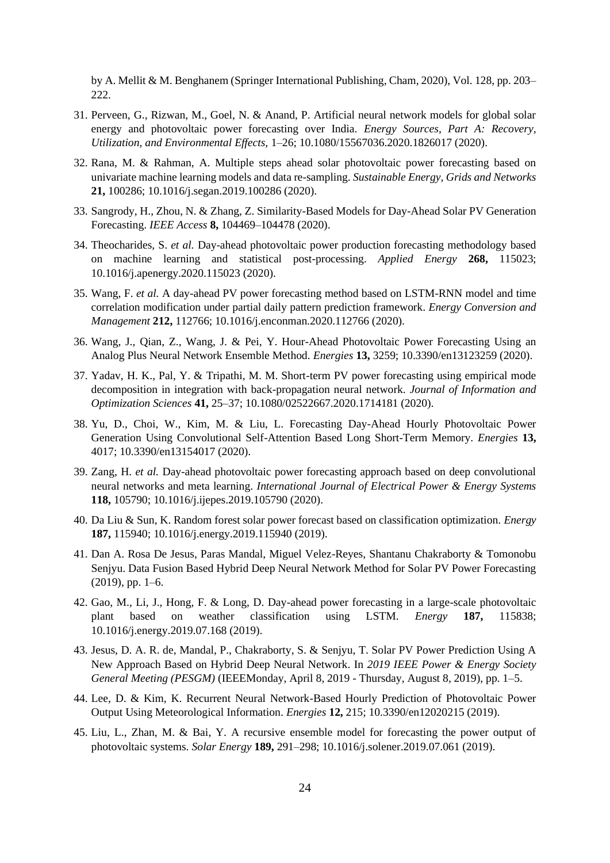by A. Mellit & M. Benghanem (Springer International Publishing, Cham, 2020), Vol. 128, pp. 203– 222.

- <span id="page-23-0"></span>31. Perveen, G., Rizwan, M., Goel, N. & Anand, P. Artificial neural network models for global solar energy and photovoltaic power forecasting over India. *Energy Sources, Part A: Recovery, Utilization, and Environmental Effects,* 1–26; 10.1080/15567036.2020.1826017 (2020).
- <span id="page-23-1"></span>32. Rana, M. & Rahman, A. Multiple steps ahead solar photovoltaic power forecasting based on univariate machine learning models and data re-sampling. *Sustainable Energy, Grids and Networks*  **21,** 100286; 10.1016/j.segan.2019.100286 (2020).
- <span id="page-23-2"></span>33. Sangrody, H., Zhou, N. & Zhang, Z. Similarity-Based Models for Day-Ahead Solar PV Generation Forecasting. *IEEE Access* **8,** 104469–104478 (2020).
- <span id="page-23-3"></span>34. Theocharides, S. *et al.* Day-ahead photovoltaic power production forecasting methodology based on machine learning and statistical post-processing. *Applied Energy* **268,** 115023; 10.1016/j.apenergy.2020.115023 (2020).
- <span id="page-23-4"></span>35. Wang, F. *et al.* A day-ahead PV power forecasting method based on LSTM-RNN model and time correlation modification under partial daily pattern prediction framework. *Energy Conversion and Management* **212,** 112766; 10.1016/j.enconman.2020.112766 (2020).
- <span id="page-23-5"></span>36. Wang, J., Qian, Z., Wang, J. & Pei, Y. Hour-Ahead Photovoltaic Power Forecasting Using an Analog Plus Neural Network Ensemble Method. *Energies* **13,** 3259; 10.3390/en13123259 (2020).
- <span id="page-23-6"></span>37. Yadav, H. K., Pal, Y. & Tripathi, M. M. Short-term PV power forecasting using empirical mode decomposition in integration with back-propagation neural network. *Journal of Information and Optimization Sciences* **41,** 25–37; 10.1080/02522667.2020.1714181 (2020).
- <span id="page-23-7"></span>38. Yu, D., Choi, W., Kim, M. & Liu, L. Forecasting Day-Ahead Hourly Photovoltaic Power Generation Using Convolutional Self-Attention Based Long Short-Term Memory. *Energies* **13,**  4017; 10.3390/en13154017 (2020).
- <span id="page-23-8"></span>39. Zang, H. *et al.* Day-ahead photovoltaic power forecasting approach based on deep convolutional neural networks and meta learning. *International Journal of Electrical Power & Energy Systems*  **118,** 105790; 10.1016/j.ijepes.2019.105790 (2020).
- <span id="page-23-9"></span>40. Da Liu & Sun, K. Random forest solar power forecast based on classification optimization. *Energy*  **187,** 115940; 10.1016/j.energy.2019.115940 (2019).
- <span id="page-23-10"></span>41. Dan A. Rosa De Jesus, Paras Mandal, Miguel Velez-Reyes, Shantanu Chakraborty & Tomonobu Senjyu. Data Fusion Based Hybrid Deep Neural Network Method for Solar PV Power Forecasting (2019), pp. 1–6.
- <span id="page-23-11"></span>42. Gao, M., Li, J., Hong, F. & Long, D. Day-ahead power forecasting in a large-scale photovoltaic plant based on weather classification using LSTM. *Energy* **187,** 115838; 10.1016/j.energy.2019.07.168 (2019).
- <span id="page-23-12"></span>43. Jesus, D. A. R. de, Mandal, P., Chakraborty, S. & Senjyu, T. Solar PV Power Prediction Using A New Approach Based on Hybrid Deep Neural Network. In *2019 IEEE Power & Energy Society General Meeting (PESGM)* (IEEEMonday, April 8, 2019 - Thursday, August 8, 2019), pp. 1–5.
- <span id="page-23-13"></span>44. Lee, D. & Kim, K. Recurrent Neural Network-Based Hourly Prediction of Photovoltaic Power Output Using Meteorological Information. *Energies* **12,** 215; 10.3390/en12020215 (2019).
- <span id="page-23-14"></span>45. Liu, L., Zhan, M. & Bai, Y. A recursive ensemble model for forecasting the power output of photovoltaic systems. *Solar Energy* **189,** 291–298; 10.1016/j.solener.2019.07.061 (2019).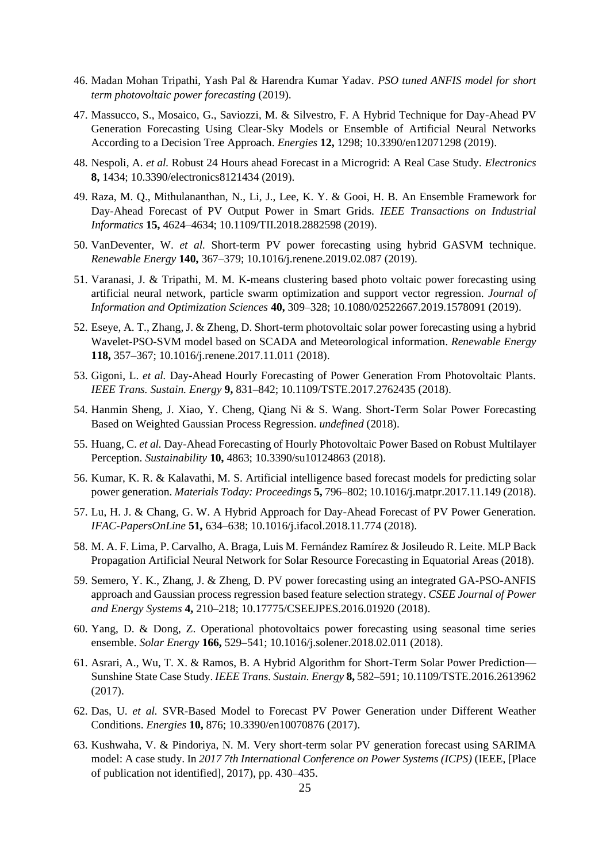- <span id="page-24-0"></span>46. Madan Mohan Tripathi, Yash Pal & Harendra Kumar Yadav. *PSO tuned ANFIS model for short term photovoltaic power forecasting* (2019).
- <span id="page-24-1"></span>47. Massucco, S., Mosaico, G., Saviozzi, M. & Silvestro, F. A Hybrid Technique for Day-Ahead PV Generation Forecasting Using Clear-Sky Models or Ensemble of Artificial Neural Networks According to a Decision Tree Approach. *Energies* **12,** 1298; 10.3390/en12071298 (2019).
- <span id="page-24-2"></span>48. Nespoli, A. *et al.* Robust 24 Hours ahead Forecast in a Microgrid: A Real Case Study. *Electronics*  **8,** 1434; 10.3390/electronics8121434 (2019).
- <span id="page-24-3"></span>49. Raza, M. Q., Mithulananthan, N., Li, J., Lee, K. Y. & Gooi, H. B. An Ensemble Framework for Day-Ahead Forecast of PV Output Power in Smart Grids. *IEEE Transactions on Industrial Informatics* **15,** 4624–4634; 10.1109/TII.2018.2882598 (2019).
- <span id="page-24-4"></span>50. VanDeventer, W. *et al.* Short-term PV power forecasting using hybrid GASVM technique. *Renewable Energy* **140,** 367–379; 10.1016/j.renene.2019.02.087 (2019).
- <span id="page-24-5"></span>51. Varanasi, J. & Tripathi, M. M. K-means clustering based photo voltaic power forecasting using artificial neural network, particle swarm optimization and support vector regression. *Journal of Information and Optimization Sciences* **40,** 309–328; 10.1080/02522667.2019.1578091 (2019).
- <span id="page-24-6"></span>52. Eseye, A. T., Zhang, J. & Zheng, D. Short-term photovoltaic solar power forecasting using a hybrid Wavelet-PSO-SVM model based on SCADA and Meteorological information. *Renewable Energy*  **118,** 357–367; 10.1016/j.renene.2017.11.011 (2018).
- <span id="page-24-7"></span>53. Gigoni, L. *et al.* Day-Ahead Hourly Forecasting of Power Generation From Photovoltaic Plants. *IEEE Trans. Sustain. Energy* **9,** 831–842; 10.1109/TSTE.2017.2762435 (2018).
- <span id="page-24-8"></span>54. Hanmin Sheng, J. Xiao, Y. Cheng, Qiang Ni & S. Wang. Short-Term Solar Power Forecasting Based on Weighted Gaussian Process Regression. *undefined* (2018).
- <span id="page-24-9"></span>55. Huang, C. *et al.* Day-Ahead Forecasting of Hourly Photovoltaic Power Based on Robust Multilayer Perception. *Sustainability* **10,** 4863; 10.3390/su10124863 (2018).
- <span id="page-24-10"></span>56. Kumar, K. R. & Kalavathi, M. S. Artificial intelligence based forecast models for predicting solar power generation. *Materials Today: Proceedings* **5,** 796–802; 10.1016/j.matpr.2017.11.149 (2018).
- <span id="page-24-11"></span>57. Lu, H. J. & Chang, G. W. A Hybrid Approach for Day-Ahead Forecast of PV Power Generation. *IFAC-PapersOnLine* **51,** 634–638; 10.1016/j.ifacol.2018.11.774 (2018).
- <span id="page-24-12"></span>58. M. A. F. Lima, P. Carvalho, A. Braga, Luis M. Fernández Ramírez & Josileudo R. Leite. MLP Back Propagation Artificial Neural Network for Solar Resource Forecasting in Equatorial Areas (2018).
- <span id="page-24-13"></span>59. Semero, Y. K., Zhang, J. & Zheng, D. PV power forecasting using an integrated GA-PSO-ANFIS approach and Gaussian process regression based feature selection strategy. *CSEE Journal of Power and Energy Systems* **4,** 210–218; 10.17775/CSEEJPES.2016.01920 (2018).
- <span id="page-24-14"></span>60. Yang, D. & Dong, Z. Operational photovoltaics power forecasting using seasonal time series ensemble. *Solar Energy* **166,** 529–541; 10.1016/j.solener.2018.02.011 (2018).
- <span id="page-24-15"></span>61. Asrari, A., Wu, T. X. & Ramos, B. A Hybrid Algorithm for Short-Term Solar Power Prediction— Sunshine State Case Study. *IEEE Trans. Sustain. Energy* **8,** 582–591; 10.1109/TSTE.2016.2613962 (2017).
- <span id="page-24-16"></span>62. Das, U. *et al.* SVR-Based Model to Forecast PV Power Generation under Different Weather Conditions. *Energies* **10,** 876; 10.3390/en10070876 (2017).
- <span id="page-24-17"></span>63. Kushwaha, V. & Pindoriya, N. M. Very short-term solar PV generation forecast using SARIMA model: A case study. In *2017 7th International Conference on Power Systems (ICPS)* (IEEE, [Place of publication not identified], 2017), pp. 430–435.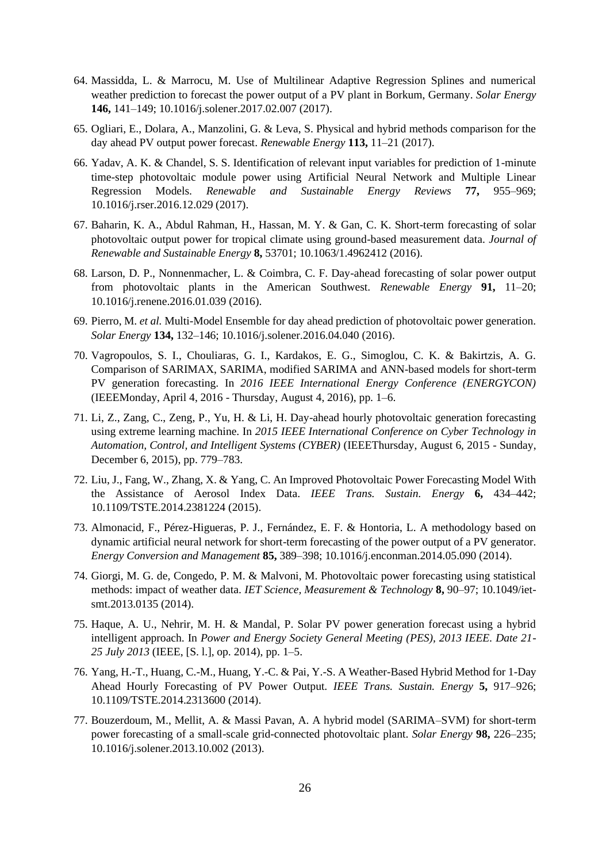- <span id="page-25-0"></span>64. Massidda, L. & Marrocu, M. Use of Multilinear Adaptive Regression Splines and numerical weather prediction to forecast the power output of a PV plant in Borkum, Germany. *Solar Energy*  **146,** 141–149; 10.1016/j.solener.2017.02.007 (2017).
- <span id="page-25-1"></span>65. Ogliari, E., Dolara, A., Manzolini, G. & Leva, S. Physical and hybrid methods comparison for the day ahead PV output power forecast. *Renewable Energy* **113,** 11–21 (2017).
- <span id="page-25-2"></span>66. Yadav, A. K. & Chandel, S. S. Identification of relevant input variables for prediction of 1-minute time-step photovoltaic module power using Artificial Neural Network and Multiple Linear Regression Models. *Renewable and Sustainable Energy Reviews* **77,** 955–969; 10.1016/j.rser.2016.12.029 (2017).
- <span id="page-25-3"></span>67. Baharin, K. A., Abdul Rahman, H., Hassan, M. Y. & Gan, C. K. Short-term forecasting of solar photovoltaic output power for tropical climate using ground-based measurement data. *Journal of Renewable and Sustainable Energy* **8,** 53701; 10.1063/1.4962412 (2016).
- <span id="page-25-4"></span>68. Larson, D. P., Nonnenmacher, L. & Coimbra, C. F. Day-ahead forecasting of solar power output from photovoltaic plants in the American Southwest. *Renewable Energy* **91,** 11–20; 10.1016/j.renene.2016.01.039 (2016).
- <span id="page-25-5"></span>69. Pierro, M. *et al.* Multi-Model Ensemble for day ahead prediction of photovoltaic power generation. *Solar Energy* **134,** 132–146; 10.1016/j.solener.2016.04.040 (2016).
- <span id="page-25-6"></span>70. Vagropoulos, S. I., Chouliaras, G. I., Kardakos, E. G., Simoglou, C. K. & Bakirtzis, A. G. Comparison of SARIMAX, SARIMA, modified SARIMA and ANN-based models for short-term PV generation forecasting. In *2016 IEEE International Energy Conference (ENERGYCON)*  (IEEEMonday, April 4, 2016 - Thursday, August 4, 2016), pp. 1–6.
- <span id="page-25-7"></span>71. Li, Z., Zang, C., Zeng, P., Yu, H. & Li, H. Day-ahead hourly photovoltaic generation forecasting using extreme learning machine. In *2015 IEEE International Conference on Cyber Technology in Automation, Control, and Intelligent Systems (CYBER)* (IEEEThursday, August 6, 2015 - Sunday, December 6, 2015), pp. 779–783.
- <span id="page-25-8"></span>72. Liu, J., Fang, W., Zhang, X. & Yang, C. An Improved Photovoltaic Power Forecasting Model With the Assistance of Aerosol Index Data. *IEEE Trans. Sustain. Energy* **6,** 434–442; 10.1109/TSTE.2014.2381224 (2015).
- <span id="page-25-9"></span>73. Almonacid, F., Pérez-Higueras, P. J., Fernández, E. F. & Hontoria, L. A methodology based on dynamic artificial neural network for short-term forecasting of the power output of a PV generator. *Energy Conversion and Management* **85,** 389–398; 10.1016/j.enconman.2014.05.090 (2014).
- <span id="page-25-10"></span>74. Giorgi, M. G. de, Congedo, P. M. & Malvoni, M. Photovoltaic power forecasting using statistical methods: impact of weather data. *IET Science, Measurement & Technology* **8,** 90–97; 10.1049/ietsmt.2013.0135 (2014).
- <span id="page-25-11"></span>75. Haque, A. U., Nehrir, M. H. & Mandal, P. Solar PV power generation forecast using a hybrid intelligent approach. In *Power and Energy Society General Meeting (PES), 2013 IEEE. Date 21- 25 July 2013* (IEEE, [S. l.], op. 2014), pp. 1–5.
- <span id="page-25-12"></span>76. Yang, H.-T., Huang, C.-M., Huang, Y.-C. & Pai, Y.-S. A Weather-Based Hybrid Method for 1-Day Ahead Hourly Forecasting of PV Power Output. *IEEE Trans. Sustain. Energy* **5,** 917–926; 10.1109/TSTE.2014.2313600 (2014).
- <span id="page-25-13"></span>77. Bouzerdoum, M., Mellit, A. & Massi Pavan, A. A hybrid model (SARIMA–SVM) for short-term power forecasting of a small-scale grid-connected photovoltaic plant. *Solar Energy* **98,** 226–235; 10.1016/j.solener.2013.10.002 (2013).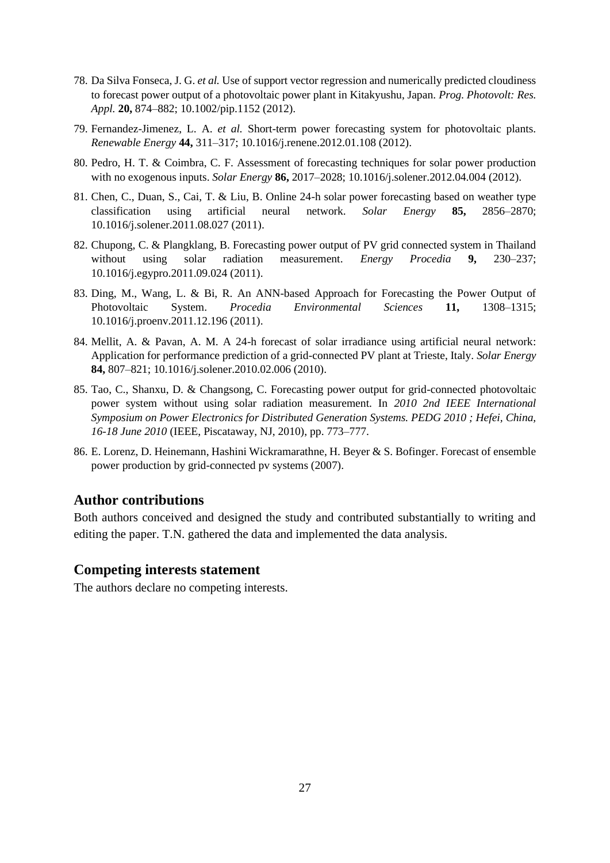- <span id="page-26-0"></span>78. Da Silva Fonseca, J. G. *et al.* Use of support vector regression and numerically predicted cloudiness to forecast power output of a photovoltaic power plant in Kitakyushu, Japan. *Prog. Photovolt: Res. Appl.* **20,** 874–882; 10.1002/pip.1152 (2012).
- <span id="page-26-1"></span>79. Fernandez-Jimenez, L. A. *et al.* Short-term power forecasting system for photovoltaic plants. *Renewable Energy* **44,** 311–317; 10.1016/j.renene.2012.01.108 (2012).
- <span id="page-26-2"></span>80. Pedro, H. T. & Coimbra, C. F. Assessment of forecasting techniques for solar power production with no exogenous inputs. *Solar Energy* **86,** 2017–2028; 10.1016/j.solener.2012.04.004 (2012).
- <span id="page-26-3"></span>81. Chen, C., Duan, S., Cai, T. & Liu, B. Online 24-h solar power forecasting based on weather type classification using artificial neural network. *Solar Energy* **85,** 2856–2870; 10.1016/j.solener.2011.08.027 (2011).
- <span id="page-26-4"></span>82. Chupong, C. & Plangklang, B. Forecasting power output of PV grid connected system in Thailand without using solar radiation measurement. *Energy Procedia* **9,** 230–237; 10.1016/j.egypro.2011.09.024 (2011).
- <span id="page-26-5"></span>83. Ding, M., Wang, L. & Bi, R. An ANN-based Approach for Forecasting the Power Output of Photovoltaic System. *Procedia Environmental Sciences* **11,** 1308–1315; 10.1016/j.proenv.2011.12.196 (2011).
- <span id="page-26-6"></span>84. Mellit, A. & Pavan, A. M. A 24-h forecast of solar irradiance using artificial neural network: Application for performance prediction of a grid-connected PV plant at Trieste, Italy. *Solar Energy*  **84,** 807–821; 10.1016/j.solener.2010.02.006 (2010).
- <span id="page-26-7"></span>85. Tao, C., Shanxu, D. & Changsong, C. Forecasting power output for grid-connected photovoltaic power system without using solar radiation measurement. In *2010 2nd IEEE International Symposium on Power Electronics for Distributed Generation Systems. PEDG 2010 ; Hefei, China, 16-18 June 2010* (IEEE, Piscataway, NJ, 2010), pp. 773–777.
- <span id="page-26-8"></span>86. E. Lorenz, D. Heinemann, Hashini Wickramarathne, H. Beyer & S. Bofinger. Forecast of ensemble power production by grid-connected pv systems (2007).

# **Author contributions**

Both authors conceived and designed the study and contributed substantially to writing and editing the paper. T.N. gathered the data and implemented the data analysis.

### **Competing interests statement**

The authors declare no competing interests.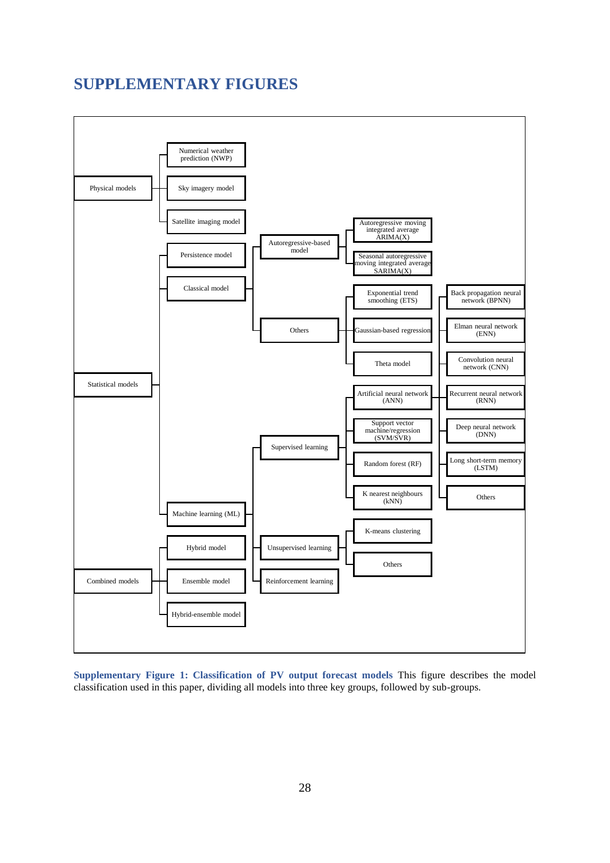# **SUPPLEMENTARY FIGURES**



<span id="page-27-0"></span>**Supplementary Figure 1: Classification of PV output forecast models** This figure describes the model classification used in this paper, dividing all models into three key groups, followed by sub-groups.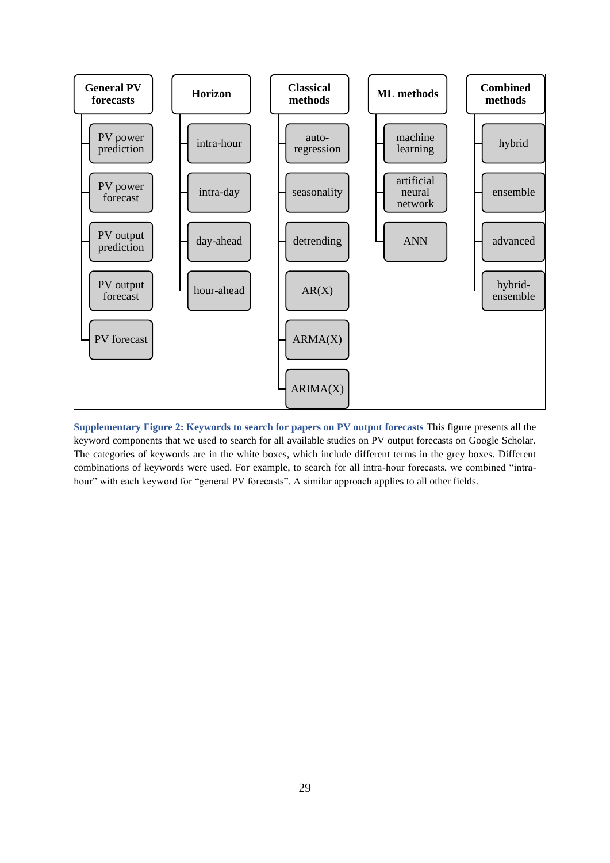

<span id="page-28-0"></span>**Supplementary Figure 2: Keywords to search for papers on PV output forecasts** This figure presents all the keyword components that we used to search for all available studies on PV output forecasts on Google Scholar. The categories of keywords are in the white boxes, which include different terms in the grey boxes. Different combinations of keywords were used. For example, to search for all intra-hour forecasts, we combined "intrahour" with each keyword for "general PV forecasts". A similar approach applies to all other fields.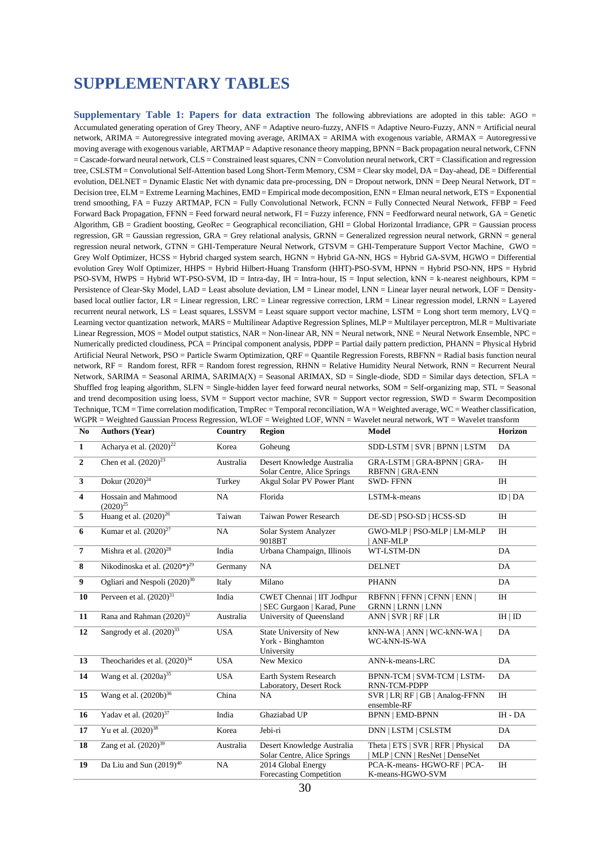# **SUPPLEMENTARY TABLES**

<span id="page-29-0"></span>**Supplementary Table 1: Papers for data extraction** The following abbreviations are adopted in this table: AGO = Accumulated generating operation of Grey Theory, ANF = Adaptive neuro-fuzzy, ANFIS = Adaptive Neuro-Fuzzy, ANN = Artificial neural network, ARIMA = Autoregressive integrated moving average, ARIMAX = ARIMA with exogenous variable, ARMAX = Autoregressive moving average with exogenous variable, ARTMAP = Adaptive resonance theory mapping, BPNN = Back propagation neural network, CFNN = Cascade-forward neural network, CLS = Constrained least squares, CNN = Convolution neural network, CRT = Classification and regression tree, CSLSTM = Convolutional Self-Attention based Long Short-Term Memory, CSM = Clear sky model, DA = Day-ahead, DE = Differential evolution, DELNET = Dynamic Elastic Net with dynamic data pre-processing,  $DN = Di$  Dropout network,  $DNN = Deep$  Neural Network,  $DT =$ Decision tree, ELM = Extreme Learning Machines, EMD = Empirical mode decomposition, ENN = Elman neural network, ETS = Exponential trend smoothing, FA = Fuzzy ARTMAP, FCN = Fully Convolutional Network, FCNN = Fully Connected Neural Network, FFBP = Feed Forward Back Propagation, FFNN = Feed forward neural network, FI = Fuzzy inference, FNN = Feedforward neural network, GA = Genetic Algorithm,  $GB =$  Gradient boosting, GeoRec = Geographical reconciliation,  $GHI =$  Global Horizontal Irradiance,  $GPR =$  Gaussian process regression, GR = Gaussian regression, GRA = Grey relational analysis, GRNN = Generalized regression neural network, GRNN = general regression neural network, GTNN = GHI-Temperature Neural Network, GTSVM = GHI-Temperature Support Vector Machine, GWO = Grey Wolf Optimizer, HCSS = Hybrid charged system search, HGNN = Hybrid GA-NN, HGS = Hybrid GA-SVM, HGWO = Differential evolution Grey Wolf Optimizer, HHPS = Hybrid Hilbert-Huang Transform (HHT)-PSO-SVM, HPNN = Hybrid PSO-NN, HPS = Hybrid PSO-SVM, HWPS = Hybrid WT-PSO-SVM, ID = Intra-day, IH = Intra-hour, IS = Input selection, kNN = k-nearest neighbours, KPM = Persistence of Clear-Sky Model, LAD = Least absolute deviation, LM = Linear model, LNN = Linear layer neural network, LOF = Densitybased local outlier factor, LR = Linear regression, LRC = Linear regressive correction, LRM = Linear regression model, LRNN = Layered recurrent neural network,  $LS =$  Least squares, LSSVM = Least square support vector machine, LSTM = Long short term memory, LVO = Learning vector quantization network, MARS = Multilinear Adaptive Regression Splines, MLP = Multilayer perceptron, MLR = Multivariate Linear Regression, MOS = Model output statistics, NAR = Non-linear AR, NN = Neural network, NNE = Neural Network Ensemble, NPC = Numerically predicted cloudiness, PCA = Principal component analysis, PDPP = Partial daily pattern prediction, PHANN = Physical Hybrid Artificial Neural Network, PSO = Particle Swarm Optimization, QRF = Quantile Regression Forests, RBFNN = Radial basis function neural network, RF = Random forest, RFR = Random forest regression, RHNN = Relative Humidity Neural Network, RNN = Recurrent Neural Network, SARIMA = Seasonal ARIMA, SARIMA(X) = Seasonal ARIMAX, SD = Single-diode, SDD = Similar days detection, SFLA = Shuffled frog leaping algorithm, SLFN = Single-hidden layer feed forward neural networks, SOM = Self-organizing map, STL = Seasonal and trend decomposition using loess, SVM = Support vector machine, SVR = Support vector regression, SWD = Swarm Decomposition Technique, TCM = Time correlation modification, TmpRec = Temporal reconciliation, WA = Weighted average, WC = Weather classification, WGPR = Weighted Gaussian Process Regression, WLOF = Weighted LOF, WNN = Wavelet neural network, WT = Wavelet transform

| N <sub>0</sub>          | <b>Authors (Year)</b>                | Country    | <b>Region</b>                                              | <b>Model</b>                                                        | Horizon   |
|-------------------------|--------------------------------------|------------|------------------------------------------------------------|---------------------------------------------------------------------|-----------|
| $\mathbf{1}$            | Acharya et al. $(2020)^{22}$         | Korea      | Goheung                                                    | SDD-LSTM   SVR   BPNN   LSTM                                        | DA        |
| $\overline{2}$          | Chen et al. $(2020)^{23}$            | Australia  | Desert Knowledge Australia<br>Solar Centre, Alice Springs  | GRA-LSTM   GRA-BPNN   GRA-<br><b>RBFNN   GRA-ENN</b>                | <b>IH</b> |
| $\mathbf{3}$            | Dokur $(2020)^{24}$                  | Turkey     | Akgul Solar PV Power Plant                                 | <b>SWD-FFNN</b>                                                     | <b>IH</b> |
| $\overline{\mathbf{4}}$ | Hossain and Mahmood<br>$(2020)^{25}$ | NA         | Florida                                                    | LSTM-k-means                                                        | ID   DA   |
| 5                       | Huang et al. $(2020)^{26}$           | Taiwan     | <b>Taiwan Power Research</b>                               | DE-SD   PSO-SD   HCSS-SD                                            | <b>IH</b> |
| 6                       | Kumar et al. $(2020)^{27}$           | <b>NA</b>  | Solar System Analyzer<br>9018BT                            | GWO-MLP   PSO-MLP   LM-MLP<br>ANF-MLP                               | <b>IH</b> |
| $\overline{7}$          | Mishra et al. $(2020)^{28}$          | India      | Urbana Champaign, Illinois                                 | WT-LSTM-DN                                                          | DA        |
| 8                       | Nikodinoska et al. $(2020^*)^{29}$   | Germany    | NA                                                         | <b>DELNET</b>                                                       | DA        |
| $\boldsymbol{9}$        | Ogliari and Nespoli $(2020)^{30}$    | Italy      | Milano                                                     | <b>PHANN</b>                                                        | DA        |
| 10                      | Perveen et al. $(2020)^{31}$         | India      | CWET Chennai   IIT Jodhpur<br>SEC Gurgaon   Karad, Pune    | RBFNN   FFNN   CFNN   ENN  <br><b>GRNN   LRNN   LNN</b>             | <b>IH</b> |
| 11                      | Rana and Rahman (2020) <sup>32</sup> | Australia  | University of Queensland                                   | ANN   SVR   RF   LR                                                 | IH   ID   |
| 12                      | Sangrody et al. $(2020)^{33}$        | <b>USA</b> | State University of New<br>York - Binghamton<br>University | kNN-WA   ANN   WC-kNN-WA  <br>WC-kNN-IS-WA                          | DA        |
| 13                      | Theocharides et al. $(2020)^{34}$    | <b>USA</b> | New Mexico                                                 | ANN-k-means-LRC                                                     | DA        |
| 14                      | Wang et al. $(2020a)^{35}$           | <b>USA</b> | Earth System Research<br>Laboratory, Desert Rock           | BPNN-TCM   SVM-TCM   LSTM-<br>RNN-TCM-PDPP                          | DA        |
| 15                      | Wang et al. $(2020b)^{36}$           | China      | NA                                                         | SVR   LR  RF   GB   Analog-FFNN<br>ensemble-RF                      | <b>IH</b> |
| 16                      | Yadav et al. $(2020)^{37}$           | India      | Ghaziabad UP                                               | <b>BPNN   EMD-BPNN</b>                                              | IH - DA   |
| 17                      | Yu et al. $(2020)^{38}$              | Korea      | Jebi-ri                                                    | DNN   LSTM   CSLSTM                                                 | DA        |
| 18                      | Zang et al. $(2020)^{39}$            | Australia  | Desert Knowledge Australia<br>Solar Centre, Alice Springs  | Theta   ETS   SVR   RFR   Physical<br>MLP   CNN   ResNet   DenseNet | DA        |
| 19                      | Da Liu and Sun $(2019)^{40}$         | NA         | 2014 Global Energy<br>Forecasting Competition              | PCA-K-means- HGWO-RF   PCA-<br>K-means-HGWO-SVM                     | <b>IH</b> |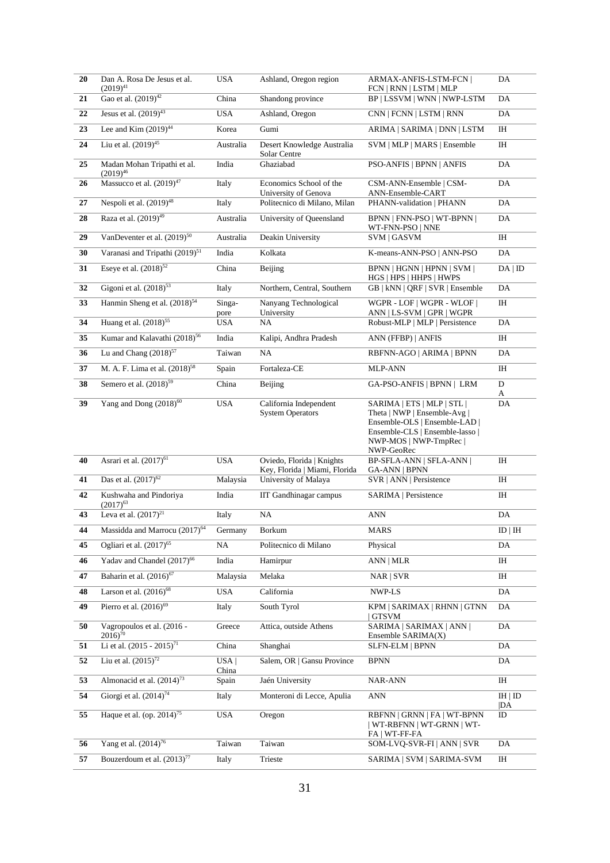| 20       | Dan A. Rosa De Jesus et al.<br>$(2019)^{41}$                 | <b>USA</b>      | Ashland, Oregon region                                     | ARMAX-ANFIS-LSTM-FCN  <br>FCN   RNN   LSTM   MLP                                                                                                                       | DA             |
|----------|--------------------------------------------------------------|-----------------|------------------------------------------------------------|------------------------------------------------------------------------------------------------------------------------------------------------------------------------|----------------|
| 21       | Gao et al. (2019) <sup>42</sup>                              | China           | Shandong province                                          | BP   LSSVM   WNN   NWP-LSTM                                                                                                                                            | DA             |
| 22       | Jesus et al. $(2019)^{43}$                                   | <b>USA</b>      | Ashland, Oregon                                            | CNN   FCNN   LSTM   RNN                                                                                                                                                | DA             |
| 23       | Lee and Kim $(2019)^{44}$                                    | Korea           | Gumi                                                       | ARIMA   SARIMA   DNN   LSTM                                                                                                                                            | IH             |
| 24       | Liu et al. $(2019)^{45}$                                     | Australia       | Desert Knowledge Australia<br>Solar Centre                 | SVM   MLP   MARS   Ensemble                                                                                                                                            | ΙH             |
| 25       | Madan Mohan Tripathi et al.<br>$(2019)^{46}$                 | India           | Ghaziabad                                                  | <b>PSO-ANFIS   BPNN   ANFIS</b>                                                                                                                                        | DA             |
| 26       | Massucco et al. (2019) <sup>47</sup>                         | Italy           | Economics School of the<br>University of Genova            | CSM-ANN-Ensemble   CSM-<br>ANN-Ensemble-CART                                                                                                                           | DA             |
| 27       | Nespoli et al. $(2019)^{48}$                                 | Italy           | Politecnico di Milano, Milan                               | PHANN-validation   PHANN                                                                                                                                               | DA             |
| 28       | Raza et al. (2019) <sup>49</sup>                             | Australia       | University of Queensland                                   | BPNN   FNN-PSO   WT-BPNN  <br>WT-FNN-PSO   NNE                                                                                                                         | DA             |
| 29       | VanDeventer et al. $(2019)^{50}$                             | Australia       | Deakin University                                          | SVM   GASVM                                                                                                                                                            | $\rm I\rm H$   |
| 30       | Varanasi and Tripathi (2019) <sup>51</sup>                   | India           | Kolkata                                                    | K-means-ANN-PSO   ANN-PSO                                                                                                                                              | DA             |
| 31       | Eseye et al. $(2018)^{52}$                                   | China           | Beijing                                                    | BPNN   HGNN   HPNN   SVM  <br>HGS   HPS   HHPS   HWPS                                                                                                                  | DA   ID        |
| 32       | Gigoni et al. $(2018)^{53}$                                  | Italy           | Northern, Central, Southern                                | GB   kNN   QRF   SVR   Ensemble                                                                                                                                        | DA             |
| 33       | Hanmin Sheng et al. (2018) <sup>54</sup>                     | Singa-<br>pore  | Nanyang Technological<br>University                        | WGPR - LOF   WGPR - WLOF  <br>ANN   LS-SVM   GPR   WGPR                                                                                                                | IH             |
| 34       | Huang et al. $(2018)^{55}$                                   | USA             | NA                                                         | Robust-MLP   MLP   Persistence                                                                                                                                         | DA             |
| 35       | Kumar and Kalavathi (2018) <sup>56</sup>                     | India           | Kalipi, Andhra Pradesh                                     | ANN (FFBP)   ANFIS                                                                                                                                                     | IH             |
| 36       | Lu and Chang $(2018)^{57}$                                   | Taiwan          | NA                                                         | RBFNN-AGO   ARIMA   BPNN                                                                                                                                               | DA             |
| 37       | M. A. F. Lima et al. (2018) <sup>58</sup>                    | Spain           | Fortaleza-CE                                               | <b>MLP-ANN</b>                                                                                                                                                         | IH             |
| 38       | Semero et al. $(2018)^{59}$                                  | China           | Beijing                                                    | GA-PSO-ANFIS   BPNN   LRM                                                                                                                                              | D<br>A         |
| 39       | Yang and Dong $(2018)^{60}$                                  | <b>USA</b>      | California Independent<br><b>System Operators</b>          | SARIMA   ETS   MLP   STL  <br>Theta   NWP   Ensemble-Avg  <br>Ensemble-OLS   Ensemble-LAD  <br>Ensemble-CLS   Ensemble-lasso  <br>NWP-MOS   NWP-TmpRec  <br>NWP-GeoRec | DA             |
| 40       | Asrari et al. (2017) <sup>61</sup>                           | <b>USA</b>      | Oviedo, Florida   Knights<br>Key, Florida   Miami, Florida | <b>BP-SFLA-ANN   SFLA-ANN  </b><br><b>GA-ANN   BPNN</b>                                                                                                                | IH             |
| 41       | Das et al. $(2017)^{62}$                                     | Malaysia        | University of Malaya                                       | SVR   ANN   Persistence                                                                                                                                                | IH             |
| 42       | Kushwaha and Pindoriya<br>$(2017)^{63}$                      | India           | <b>IIT Gandhinagar campus</b>                              | SARIMA   Persistence                                                                                                                                                   | IH             |
| 43       | Leva et al. $(2017)^{21}$                                    | Italy           | NA                                                         | <b>ANN</b>                                                                                                                                                             | DA             |
| 44       | Massidda and Marrocu (2017) <sup>64</sup>                    | Germany         | Borkum                                                     | <b>MARS</b>                                                                                                                                                            | ID   IH        |
| 45       | Ogliari et al. $(2017)^{65}$                                 | NA              | Politecnico di Milano                                      | Physical                                                                                                                                                               | DA             |
| 46       | Yadav and Chandel (2017) <sup>66</sup>                       | India           | Hamirpur                                                   | ANN   MLR                                                                                                                                                              | IH             |
| 47       | Baharin et al. (2016) <sup>67</sup>                          | Malaysia        | Melaka                                                     | NAR   SVR                                                                                                                                                              | IH             |
| 48       | Larson et al. $(2016)^{68}$                                  | USA             | California                                                 | NWP-LS                                                                                                                                                                 | DA             |
| 49       | Pierro et al. $(2016)^{69}$                                  | Italy           | South Tyrol                                                | KPM   SARIMAX   RHNN   GTNN<br>  GTSVM                                                                                                                                 | DA             |
| 50       | Vagropoulos et al. (2016 -<br>$2016$ <sup>70</sup>           | Greece          | Attica, outside Athens                                     | SARIMA   SARIMAX   ANN  <br>Ensemble SARIMA(X)                                                                                                                         | DA             |
| 51       | Li et al. (2015 - 2015) <sup>71</sup>                        | China           | Shanghai                                                   | SLFN-ELM   BPNN                                                                                                                                                        | DA             |
| 52       | Liu et al. $(2015)^{72}$                                     | USA <br>China   | Salem, OR   Gansu Province                                 | <b>BPNN</b>                                                                                                                                                            | DA             |
| 53       | Almonacid et al. $(2014)^{73}$                               | Spain           | Jaén University                                            | <b>NAR-ANN</b>                                                                                                                                                         | IH             |
|          |                                                              |                 |                                                            |                                                                                                                                                                        |                |
| 54       | Giorgi et al. $(2014)^{74}$                                  | Italy           | Monteroni di Lecce, Apulia                                 | ANN                                                                                                                                                                    | IH   ID<br> DA |
| 55       | Haque et al. (op. $2014$ ) <sup>75</sup>                     | <b>USA</b>      | Oregon                                                     | RBFNN   GRNN   FA   WT-BPNN<br>  WT-RBFNN   WT-GRNN   WT-<br>FA   WT-FF-FA                                                                                             | ID             |
| 56<br>57 | Yang et al. $(2014)^{76}$<br>Bouzerdoum et al. $(2013)^{77}$ | Taiwan<br>Italy | Taiwan<br>Trieste                                          | SOM-LVQ-SVR-FI   ANN   SVR<br>SARIMA   SVM   SARIMA-SVM                                                                                                                | DA<br>IH       |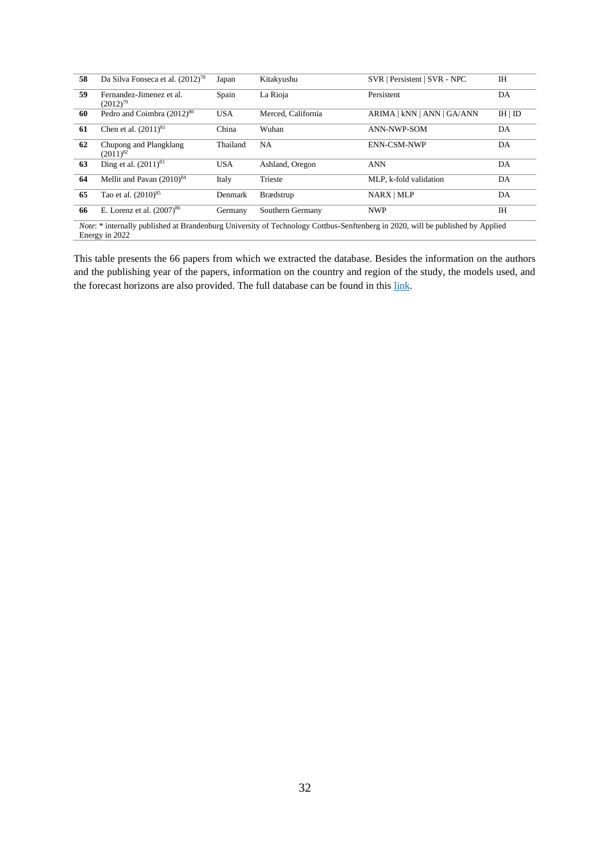| 58 | Da Silva Fonseca et al. (2012) <sup>78</sup> | Japan      | Kitakyushu         | SVR   Persistent   SVR - NPC                                                                                                          | <b>IH</b> |
|----|----------------------------------------------|------------|--------------------|---------------------------------------------------------------------------------------------------------------------------------------|-----------|
| 59 | Fernandez-Jimenez et al.<br>$(2012)^{79}$    | Spain      | La Rioja           | Persistent                                                                                                                            | DA        |
| 60 | Pedro and Coimbra (2012) <sup>80</sup>       | <b>USA</b> | Merced, California | ARIMA   kNN   ANN   GA/ANN                                                                                                            | IH   ID   |
| 61 | Chen et al. $(2011)^{81}$                    | China      | Wuhan              | <b>ANN-NWP-SOM</b>                                                                                                                    | DA        |
| 62 | Chupong and Plangklang<br>$(2011)^{82}$      | Thailand   | <b>NA</b>          | ENN-CSM-NWP                                                                                                                           | DA        |
| 63 | Ding et al. $(2011)^{83}$                    | <b>USA</b> | Ashland, Oregon    | <b>ANN</b>                                                                                                                            | DA        |
| 64 | Mellit and Pavan $(2010)^{84}$               | Italy      | Trieste            | MLP, k-fold validation                                                                                                                | DA        |
| 65 | Tao et al. (2010) <sup>85</sup>              | Denmark    | Brædstrup          | NARX   MLP                                                                                                                            | DA        |
| 66 | E. Lorenz et al. $(2007)^{86}$               | Germany    | Southern Germany   | <b>NWP</b>                                                                                                                            | <b>IH</b> |
|    |                                              |            |                    | <i>Note:</i> * internally published at Brandenburg University of Technology Cottbus-Senftenberg in 2020, will be published by Applied |           |

Energy in 2022

This table presents the 66 papers from which we extracted the database. Besides the information on the authors and the publishing year of the papers, information on the country and region of the study, the models used, and the forecast horizons are also provided. The full database can be found in this [link.](https://doi.org/10.5281/zenodo.5589771)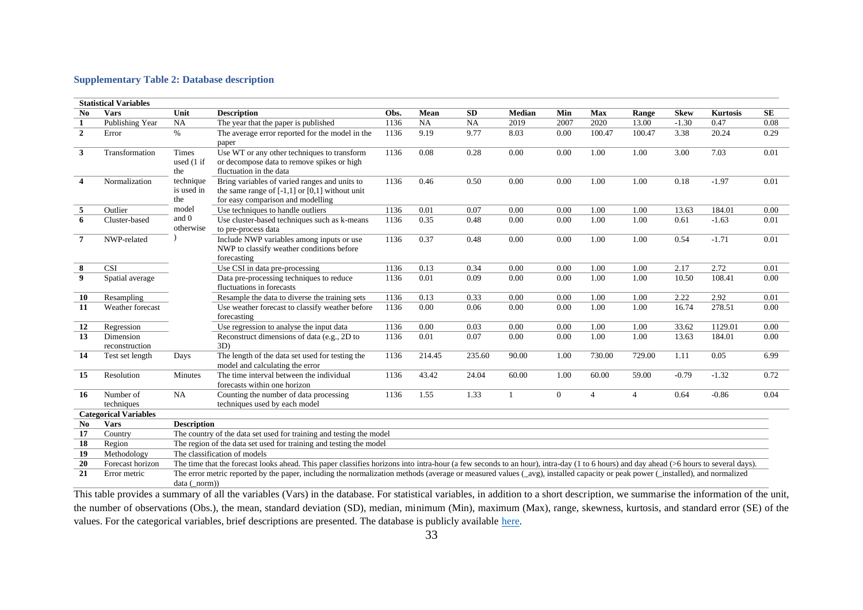#### **Supplementary Table 2: Database description**

|                | <b>Statistical Variables</b> |                                |                                                                                                                                                                                       |      |        |           |               |          |                |                |             |                 |           |
|----------------|------------------------------|--------------------------------|---------------------------------------------------------------------------------------------------------------------------------------------------------------------------------------|------|--------|-----------|---------------|----------|----------------|----------------|-------------|-----------------|-----------|
| No             | <b>Vars</b>                  | Unit                           | <b>Description</b>                                                                                                                                                                    | Obs. | Mean   | <b>SD</b> | <b>Median</b> | Min      | Max            | Range          | <b>Skew</b> | <b>Kurtosis</b> | <b>SE</b> |
| 1              | Publishing Year              | NA                             | The year that the paper is published                                                                                                                                                  | 1136 | NA     | <b>NA</b> | 2019          | 2007     | 2020           | 13.00          | $-1.30$     | 0.47            | 0.08      |
| $\overline{2}$ | Error                        | $\%$                           | The average error reported for the model in the<br>paper                                                                                                                              | 1136 | 9.19   | 9.77      | 8.03          | 0.00     | 100.47         | 100.47         | 3.38        | 20.24           | 0.29      |
| $\mathbf{3}$   | Transformation               | Times<br>used (1 if<br>the     | Use WT or any other techniques to transform<br>or decompose data to remove spikes or high<br>fluctuation in the data                                                                  | 1136 | 0.08   | 0.28      | 0.00          | 0.00     | 1.00           | 1.00           | 3.00        | 7.03            | 0.01      |
| $\overline{4}$ | Normalization                | technique<br>is used in<br>the | Bring variables of varied ranges and units to<br>the same range of $[-1,1]$ or $[0,1]$ without unit<br>for easy comparison and modelling                                              | 1136 | 0.46   | 0.50      | 0.00          | 0.00     | 1.00           | 1.00           | 0.18        | $-1.97$         | 0.01      |
| 5              | Outlier                      | model                          | Use techniques to handle outliers                                                                                                                                                     | 1136 | 0.01   | 0.07      | 0.00          | 0.00     | 1.00           | 1.00           | 13.63       | 184.01          | 0.00      |
| 6              | Cluster-based                | and 0<br>otherwise             | Use cluster-based techniques such as k-means<br>to pre-process data                                                                                                                   | 1136 | 0.35   | 0.48      | 0.00          | 0.00     | 1.00           | 1.00           | 0.61        | $-1.63$         | 0.01      |
| $\overline{7}$ | NWP-related                  |                                | Include NWP variables among inputs or use<br>NWP to classify weather conditions before<br>forecasting                                                                                 | 1136 | 0.37   | 0.48      | 0.00          | 0.00     | 1.00           | 1.00           | 0.54        | $-1.71$         | 0.01      |
| 8              | <b>CSI</b>                   |                                | Use CSI in data pre-processing                                                                                                                                                        | 1136 | 0.13   | 0.34      | 0.00          | 0.00     | 1.00           | 1.00           | 2.17        | 2.72            | 0.01      |
| 9              | Spatial average              |                                | Data pre-processing techniques to reduce<br>fluctuations in forecasts                                                                                                                 | 1136 | 0.01   | 0.09      | 0.00          | 0.00     | 1.00           | 1.00           | 10.50       | 108.41          | 0.00      |
| 10             | Resampling                   |                                | Resample the data to diverse the training sets                                                                                                                                        | 1136 | 0.13   | 0.33      | 0.00          | 0.00     | 1.00           | 1.00           | 2.22        | 2.92            | 0.01      |
| 11             | Weather forecast             |                                | Use weather forecast to classify weather before<br>forecasting                                                                                                                        | 1136 | 0.00   | 0.06      | 0.00          | 0.00     | 1.00           | 1.00           | 16.74       | 278.51          | 0.00      |
| 12             | Regression                   |                                | Use regression to analyse the input data                                                                                                                                              | 1136 | 0.00   | 0.03      | 0.00          | 0.00     | 1.00           | 1.00           | 33.62       | 1129.01         | 0.00      |
| 13             | Dimension<br>reconstruction  |                                | Reconstruct dimensions of data (e.g., 2D to<br>3D)                                                                                                                                    | 1136 | 0.01   | 0.07      | 0.00          | 0.00     | 1.00           | 1.00           | 13.63       | 184.01          | 0.00      |
| 14             | Test set length              | Days                           | The length of the data set used for testing the<br>model and calculating the error                                                                                                    | 1136 | 214.45 | 235.60    | 90.00         | 1.00     | 730.00         | 729.00         | 1.11        | 0.05            | 6.99      |
| 15             | Resolution                   | Minutes                        | The time interval between the individual<br>forecasts within one horizon                                                                                                              | 1136 | 43.42  | 24.04     | 60.00         | 1.00     | 60.00          | 59.00          | $-0.79$     | $-1.32$         | 0.72      |
| 16             | Number of<br>techniques      | NA                             | Counting the number of data processing<br>techniques used by each model                                                                                                               | 1136 | 1.55   | 1.33      | -1            | $\theta$ | $\overline{4}$ | $\overline{4}$ | 0.64        | $-0.86$         | 0.04      |
|                | <b>Categorical Variables</b> |                                |                                                                                                                                                                                       |      |        |           |               |          |                |                |             |                 |           |
| No             | <b>Vars</b>                  | <b>Description</b>             |                                                                                                                                                                                       |      |        |           |               |          |                |                |             |                 |           |
| 17             | Country                      |                                | The country of the data set used for training and testing the model                                                                                                                   |      |        |           |               |          |                |                |             |                 |           |
| 18             | Region                       |                                | The region of the data set used for training and testing the model                                                                                                                    |      |        |           |               |          |                |                |             |                 |           |
| 19             | Methodology                  |                                | The classification of models                                                                                                                                                          |      |        |           |               |          |                |                |             |                 |           |
| 20             | Forecast horizon             |                                | The time that the forecast looks ahead. This paper classifies horizons into intra-hour (a few seconds to an hour), intra-day (1 to 6 hours) and day ahead (>6 hours to several days). |      |        |           |               |          |                |                |             |                 |           |
| 21             | Error metric                 | data (norm))                   | The error metric reported by the paper, including the normalization methods (average or measured values (_avg), installed capacity or peak power (_installed), and normalized         |      |        |           |               |          |                |                |             |                 |           |
|                |                              |                                |                                                                                                                                                                                       |      |        |           |               |          |                |                |             |                 |           |

<span id="page-32-0"></span>This table provides a summary of all the variables (Vars) in the database. For statistical variables, in addition to a short description, we summarise the information of the unit, the number of observations (Obs.), the mean, standard deviation (SD), median, minimum (Min), maximum (Max), range, skewness, kurtosis, and standard error (SE) of the values. For the categorical variables, brief descriptions are presented. The database is publicly available [here.](https://doi.org/10.5281/zenodo.5589771)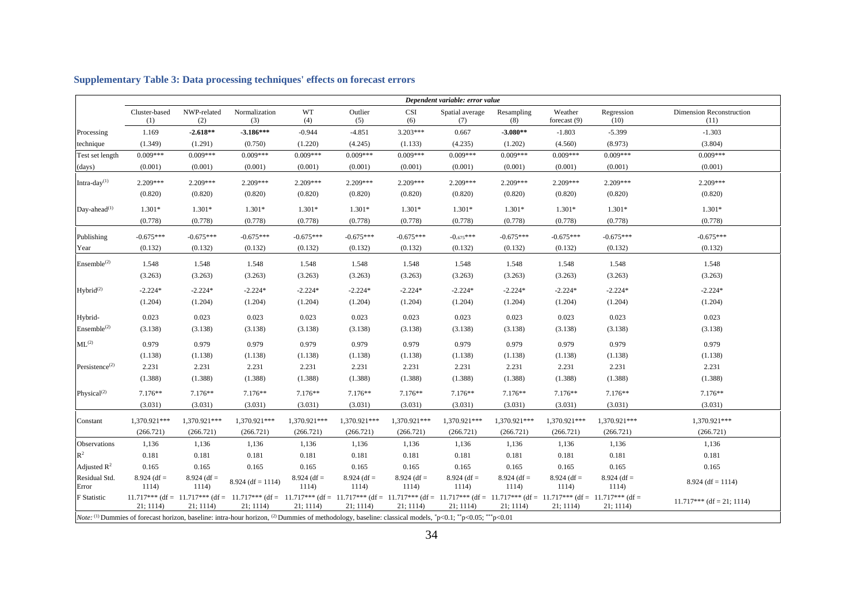<span id="page-33-0"></span>

|                            |                        |                        |                                                                                                                                                                                                    |                        |                        |                        | Dependent variable: error value |                        |                           |                        |                                  |
|----------------------------|------------------------|------------------------|----------------------------------------------------------------------------------------------------------------------------------------------------------------------------------------------------|------------------------|------------------------|------------------------|---------------------------------|------------------------|---------------------------|------------------------|----------------------------------|
|                            | Cluster-based<br>(1)   | NWP-related<br>(2)     | Normalization<br>(3)                                                                                                                                                                               | WT<br>(4)              | Outlier<br>(5)         | <b>CSI</b><br>(6)      | Spatial average<br>(7)          | Resampling<br>(8)      | Weather<br>forecast $(9)$ | Regression<br>(10)     | Dimension Reconstruction<br>(11) |
| Processing                 | 1.169                  | $-2.618**$             | $-3.186***$                                                                                                                                                                                        | $-0.944$               | $-4.851$               | $3.203***$             | 0.667                           | $-3.080**$             | $-1.803$                  | $-5.399$               | $-1.303$                         |
| technique                  | (1.349)                | (1.291)                | (0.750)                                                                                                                                                                                            | (1.220)                | (4.245)                | (1.133)                | (4.235)                         | (1.202)                | (4.560)                   | (8.973)                | (3.804)                          |
| Test set length            | $0.009***$             | $0.009***$             | $0.009***$                                                                                                                                                                                         | $0.009***$             | $0.009***$             | $0.009***$             | $0.009***$                      | $0.009***$             | $0.009***$                | $0.009***$             | $0.009***$                       |
| (days)                     | (0.001)                | (0.001)                | (0.001)                                                                                                                                                                                            | (0.001)                | (0.001)                | (0.001)                | (0.001)                         | (0.001)                | (0.001)                   | (0.001)                | (0.001)                          |
| Intra-day(1)               | $2.209***$             | 2.209***               | 2.209***                                                                                                                                                                                           | $2.209***$             | 2.209***               | 2.209***               | 2.209***                        | 2.209***               | $2.209***$                | 2.209***               | $2.209***$                       |
|                            | (0.820)                | (0.820)                | (0.820)                                                                                                                                                                                            | (0.820)                | (0.820)                | (0.820)                | (0.820)                         | (0.820)                | (0.820)                   | (0.820)                | (0.820)                          |
| Day-ahead $^{(1)}$         | 1.301*                 | 1.301*                 | $1.301*$                                                                                                                                                                                           | 1.301*                 | $1.301*$               | $1.301*$               | $1.301*$                        | $1.301*$               | $1.301*$                  | $1.301*$               | $1.301*$                         |
|                            | (0.778)                | (0.778)                | (0.778)                                                                                                                                                                                            | (0.778)                | (0.778)                | (0.778)                | (0.778)                         | (0.778)                | (0.778)                   | (0.778)                | (0.778)                          |
| Publishing                 | $-0.675***$            | $-0.675***$            | $-0.675***$                                                                                                                                                                                        | $-0.675***$            | $-0.675***$            | $-0.675***$            | $-0.675***$                     | $-0.675***$            | $-0.675***$               | $-0.675***$            | $-0.675***$                      |
| Year                       | (0.132)                | (0.132)                | (0.132)                                                                                                                                                                                            | (0.132)                | (0.132)                | (0.132)                | (0.132)                         | (0.132)                | (0.132)                   | (0.132)                | (0.132)                          |
| $Ensemble^{(2)}$           | 1.548                  | 1.548                  | 1.548                                                                                                                                                                                              | 1.548                  | 1.548                  | 1.548                  | 1.548                           | 1.548                  | 1.548                     | 1.548                  | 1.548                            |
|                            | (3.263)                | (3.263)                | (3.263)                                                                                                                                                                                            | (3.263)                | (3.263)                | (3.263)                | (3.263)                         | (3.263)                | (3.263)                   | (3.263)                | (3.263)                          |
| Hybrid <sup>(2)</sup>      | $-2.224*$              | $-2.224*$              | $-2.224*$                                                                                                                                                                                          | $-2.224*$              | $-2.224*$              | $-2.224*$              | $-2.224*$                       | $-2.224*$              | $-2.224*$                 | $-2.224*$              | $-2.224*$                        |
|                            | (1.204)                | (1.204)                | (1.204)                                                                                                                                                                                            | (1.204)                | (1.204)                | (1.204)                | (1.204)                         | (1.204)                | (1.204)                   | (1.204)                | (1.204)                          |
| Hybrid-                    | 0.023                  | 0.023                  | 0.023                                                                                                                                                                                              | 0.023                  | 0.023                  | 0.023                  | 0.023                           | 0.023                  | 0.023                     | 0.023                  | 0.023                            |
| $Ensemble^{(2)}$           | (3.138)                | (3.138)                | (3.138)                                                                                                                                                                                            | (3.138)                | (3.138)                | (3.138)                | (3.138)                         | (3.138)                | (3.138)                   | (3.138)                | (3.138)                          |
| $ML^{(2)}$                 | 0.979                  | 0.979                  | 0.979                                                                                                                                                                                              | 0.979                  | 0.979                  | 0.979                  | 0.979                           | 0.979                  | 0.979                     | 0.979                  | 0.979                            |
|                            | (1.138)                | (1.138)                | (1.138)                                                                                                                                                                                            | (1.138)                | (1.138)                | (1.138)                | (1.138)                         | (1.138)                | (1.138)                   | (1.138)                | (1.138)                          |
| Persistence <sup>(2)</sup> | 2.231                  | 2.231                  | 2.231                                                                                                                                                                                              | 2.231                  | 2.231                  | 2.231                  | 2.231                           | 2.231                  | 2.231                     | 2.231                  | 2.231                            |
|                            | (1.388)                | (1.388)                | (1.388)                                                                                                                                                                                            | (1.388)                | (1.388)                | (1.388)                | (1.388)                         | (1.388)                | (1.388)                   | (1.388)                | (1.388)                          |
| Physical $^{(2)}$          | 7.176**                | $7.176**$              | $7.176**$                                                                                                                                                                                          | 7.176**                | $7.176**$              | $7.176**$              | $7.176**$                       | 7.176**                | $7.176**$                 | 7.176**                | $7.176**$                        |
|                            | (3.031)                | (3.031)                | (3.031)                                                                                                                                                                                            | (3.031)                | (3.031)                | (3.031)                | (3.031)                         | (3.031)                | (3.031)                   | (3.031)                | (3.031)                          |
| Constant                   | 1,370.921***           | 1,370.921***           | 1,370.921***                                                                                                                                                                                       | 1,370.921***           | 1,370.921***           | 1,370.921***           | 1.370.921***                    | 1,370.921***           | 1.370.921***              | 1.370.921***           | 1,370.921***                     |
|                            | (266.721)              | (266.721)              | (266.721)                                                                                                                                                                                          | (266.721)              | (266.721)              | (266.721)              | (266.721)                       | (266.721)              | (266.721)                 | (266.721)              | (266.721)                        |
| Observations               | 1,136                  | 1,136                  | 1,136                                                                                                                                                                                              | 1,136                  | 1,136                  | 1,136                  | 1,136                           | 1,136                  | 1,136                     | 1,136                  | 1,136                            |
| $\mathbb{R}^2$             | 0.181                  | 0.181                  | 0.181                                                                                                                                                                                              | 0.181                  | 0.181                  | 0.181                  | 0.181                           | 0.181                  | 0.181                     | 0.181                  | 0.181                            |
| Adjusted $\mathbb{R}^2$    | 0.165                  | 0.165                  | 0.165                                                                                                                                                                                              | 0.165                  | 0.165                  | 0.165                  | 0.165                           | 0.165                  | 0.165                     | 0.165                  | 0.165                            |
| Residual Std.<br>Error     | $8.924$ (df =<br>1114) | $8.924$ (df =<br>1114) | $8.924$ (df = 1114)                                                                                                                                                                                | $8.924$ (df =<br>1114) | $8.924$ (df =<br>1114) | $8.924$ (df =<br>1114) | $8.924$ (df =<br>1114)          | $8.924$ (df =<br>1114) | $8.924$ (df =<br>1114)    | $8.924$ (df =<br>1114) | $8.924$ (df = 1114)              |
| <b>F</b> Statistic         | 21; 1114               | 21; 1114)              | $11.717***$ (df = 11.717*** (df = 11.717*** (df = 11.717*** (df = 11.717*** (df = 11.717*** (df = 11.717*** (df = 11.717** (df = 11.717** (df = 11.717** (df = 11.717** (df = 11.717* )<br>21:1114 | 21:1114                | 21; 1114)              | 21; 1114               | 21; 1114                        | 21; 1114               | 21; 1114                  | 21; 1114               | $11.717***$ (df = 21; 1114)      |

### **Supplementary Table 3: Data processing techniques' effects on forecast errors**